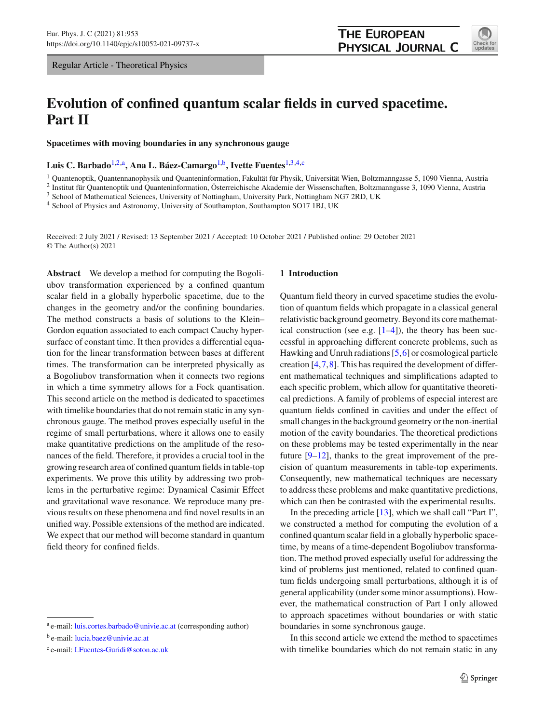Regular Article - Theoretical Physics

# **Evolution of confined quantum scalar fields in curved spacetime. Part II**

**Spacetimes with moving boundaries in any synchronous gauge**

**Luis C. Barbado**[1,2,](#page-0-0)a**, Ana L. Báez-Camargo**[1,](#page-0-0)b**, Ivette Fuentes**[1,](#page-0-0)[3](#page-0-1)[,4,](#page-0-2)c

<sup>1</sup> Quantenoptik, Quantennanophysik und Quanteninformation, Fakultät für Physik, Universität Wien, Boltzmanngasse 5, 1090 Vienna, Austria

<sup>2</sup> Institut für Quantenoptik und Quanteninformation, Österreichische Akademie der Wissenschaften, Boltzmanngasse 3, 1090 Vienna, Austria

<sup>3</sup> School of Mathematical Sciences, University of Nottingham, University Park, Nottingham NG7 2RD, UK

<sup>4</sup> School of Physics and Astronomy, University of Southampton, Southampton SO17 1BJ, UK

Received: 2 July 2021 / Revised: 13 September 2021 / Accepted: 10 October 2021 / Published online: 29 October 2021 © The Author(s) 2021

**Abstract** We develop a method for computing the Bogoliubov transformation experienced by a confined quantum scalar field in a globally hyperbolic spacetime, due to the changes in the geometry and/or the confining boundaries. The method constructs a basis of solutions to the Klein– Gordon equation associated to each compact Cauchy hypersurface of constant time. It then provides a differential equation for the linear transformation between bases at different times. The transformation can be interpreted physically as a Bogoliubov transformation when it connects two regions in which a time symmetry allows for a Fock quantisation. This second article on the method is dedicated to spacetimes with timelike boundaries that do not remain static in any synchronous gauge. The method proves especially useful in the regime of small perturbations, where it allows one to easily make quantitative predictions on the amplitude of the resonances of the field. Therefore, it provides a crucial tool in the growing research area of confined quantum fields in table-top experiments. We prove this utility by addressing two problems in the perturbative regime: Dynamical Casimir Effect and gravitational wave resonance. We reproduce many previous results on these phenomena and find novel results in an unified way. Possible extensions of the method are indicated. We expect that our method will become standard in quantum field theory for confined fields.

## <span id="page-0-2"></span>**1 Introduction**

Quantum field theory in curved spacetime studies the evolution of quantum fields which propagate in a classical general relativistic background geometry. Beyond its core mathematical construction (see e.g.  $[1-4]$  $[1-4]$ ), the theory has been successful in approaching different concrete problems, such as Hawking and Unruh radiations [\[5](#page-21-2),[6\]](#page-21-3) or cosmological particle creation [\[4](#page-21-1),[7,](#page-21-4)[8\]](#page-21-5). This has required the development of different mathematical techniques and simplifications adapted to each specific problem, which allow for quantitative theoretical predictions. A family of problems of especial interest are quantum fields confined in cavities and under the effect of small changes in the background geometry or the non-inertial motion of the cavity boundaries. The theoretical predictions on these problems may be tested experimentally in the near future [\[9](#page-21-6)[–12\]](#page-22-0), thanks to the great improvement of the precision of quantum measurements in table-top experiments. Consequently, new mathematical techniques are necessary to address these problems and make quantitative predictions, which can then be contrasted with the experimental results.

In the preceding article [\[13\]](#page-22-1), which we shall call "Part I", we constructed a method for computing the evolution of a confined quantum scalar field in a globally hyperbolic spacetime, by means of a time-dependent Bogoliubov transformation. The method proved especially useful for addressing the kind of problems just mentioned, related to confined quantum fields undergoing small perturbations, although it is of general applicability (under some minor assumptions). However, the mathematical construction of Part I only allowed to approach spacetimes without boundaries or with static boundaries in some synchronous gauge.

In this second article we extend the method to spacetimes with timelike boundaries which do not remain static in any

<span id="page-0-1"></span><span id="page-0-0"></span>

<sup>&</sup>lt;sup>a</sup> e-mail: [luis.cortes.barbado@univie.ac.at](mailto:luis.cortes.barbado@univie.ac.at) (corresponding author)

<sup>b</sup> e-mail: [lucia.baez@univie.ac.at](mailto:lucia.baez@univie.ac.at)

<sup>c</sup> e-mail: [I.Fuentes-Guridi@soton.ac.uk](mailto:I.Fuentes-Guridi@soton.ac.uk)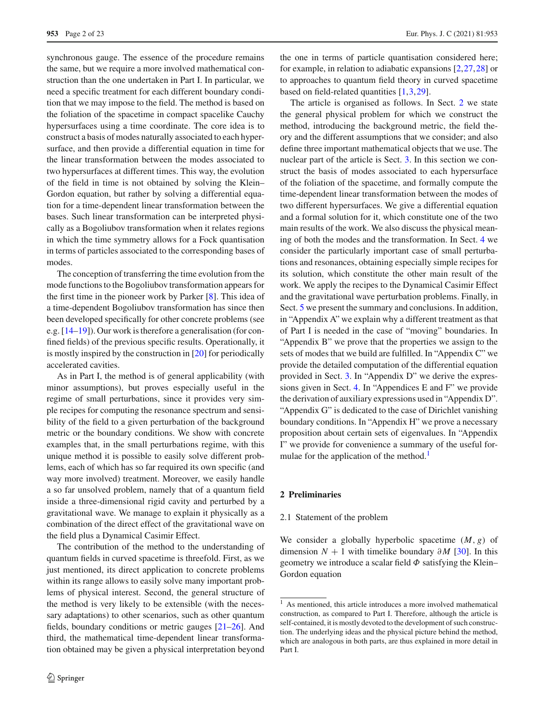synchronous gauge. The essence of the procedure remains the same, but we require a more involved mathematical construction than the one undertaken in Part I. In particular, we need a specific treatment for each different boundary condition that we may impose to the field. The method is based on the foliation of the spacetime in compact spacelike Cauchy hypersurfaces using a time coordinate. The core idea is to construct a basis of modes naturally associated to each hypersurface, and then provide a differential equation in time for the linear transformation between the modes associated to two hypersurfaces at different times. This way, the evolution of the field in time is not obtained by solving the Klein– Gordon equation, but rather by solving a differential equation for a time-dependent linear transformation between the bases. Such linear transformation can be interpreted physically as a Bogoliubov transformation when it relates regions in which the time symmetry allows for a Fock quantisation in terms of particles associated to the corresponding bases of modes.

The conception of transferring the time evolution from the mode functions to the Bogoliubov transformation appears for the first time in the pioneer work by Parker [\[8](#page-21-5)]. This idea of a time-dependent Bogoliubov transformation has since then been developed specifically for other concrete problems (see e.g. [\[14](#page-22-2)[–19](#page-22-3)]). Our work is therefore a generalisation (for confined fields) of the previous specific results. Operationally, it is mostly inspired by the construction in [\[20\]](#page-22-4) for periodically accelerated cavities.

As in Part I, the method is of general applicability (with minor assumptions), but proves especially useful in the regime of small perturbations, since it provides very simple recipes for computing the resonance spectrum and sensibility of the field to a given perturbation of the background metric or the boundary conditions. We show with concrete examples that, in the small perturbations regime, with this unique method it is possible to easily solve different problems, each of which has so far required its own specific (and way more involved) treatment. Moreover, we easily handle a so far unsolved problem, namely that of a quantum field inside a three-dimensional rigid cavity and perturbed by a gravitational wave. We manage to explain it physically as a combination of the direct effect of the gravitational wave on the field plus a Dynamical Casimir Effect.

The contribution of the method to the understanding of quantum fields in curved spacetime is threefold. First, as we just mentioned, its direct application to concrete problems within its range allows to easily solve many important problems of physical interest. Second, the general structure of the method is very likely to be extensible (with the necessary adaptations) to other scenarios, such as other quantum fields, boundary conditions or metric gauges [\[21](#page-22-5)[–26\]](#page-22-6). And third, the mathematical time-dependent linear transformation obtained may be given a physical interpretation beyond the one in terms of particle quantisation considered here; for example, in relation to adiabatic expansions [\[2](#page-21-7)[,27](#page-22-7)[,28](#page-22-8)] or to approaches to quantum field theory in curved spacetime based on field-related quantities [\[1](#page-21-0)[,3](#page-21-8)[,29](#page-22-9)].

The article is organised as follows. In Sect. [2](#page-1-0) we state the general physical problem for which we construct the method, introducing the background metric, the field theory and the different assumptions that we consider; and also define three important mathematical objects that we use. The nuclear part of the article is Sect. [3.](#page-3-0) In this section we construct the basis of modes associated to each hypersurface of the foliation of the spacetime, and formally compute the time-dependent linear transformation between the modes of two different hypersurfaces. We give a differential equation and a formal solution for it, which constitute one of the two main results of the work. We also discuss the physical meaning of both the modes and the transformation. In Sect. [4](#page-6-0) we consider the particularly important case of small perturbations and resonances, obtaining especially simple recipes for its solution, which constitute the other main result of the work. We apply the recipes to the Dynamical Casimir Effect and the gravitational wave perturbation problems. Finally, in Sect. [5](#page-11-0) we present the summary and conclusions. In addition, in "Appendix A" we explain why a different treatment as that of Part I is needed in the case of "moving" boundaries. In "Appendix B" we prove that the properties we assign to the sets of modes that we build are fulfilled. In "Appendix C" we provide the detailed computation of the differential equation provided in Sect. [3.](#page-3-0) In "Appendix D" we derive the expressions given in Sect. [4.](#page-6-0) In "Appendices E and F" we provide the derivation of auxiliary expressions used in "Appendix D". "Appendix G" is dedicated to the case of Dirichlet vanishing boundary conditions. In "Appendix H" we prove a necessary proposition about certain sets of eigenvalues. In "Appendix I" we provide for convenience a summary of the useful formulae for the application of the method.<sup>1</sup>

#### <span id="page-1-2"></span><span id="page-1-0"></span>**2 Preliminaries**

## 2.1 Statement of the problem

We consider a globally hyperbolic spacetime (*M*, *g*) of dimension  $N + 1$  with timelike boundary  $\partial M$  [\[30](#page-22-10)]. In this geometry we introduce a scalar field  $\Phi$  satisfying the Klein– Gordon equation

<span id="page-1-1"></span><sup>1</sup> As mentioned, this article introduces a more involved mathematical construction, as compared to Part I. Therefore, although the article is self-contained, it is mostly devoted to the development of such construction. The underlying ideas and the physical picture behind the method, which are analogous in both parts, are thus explained in more detail in Part I.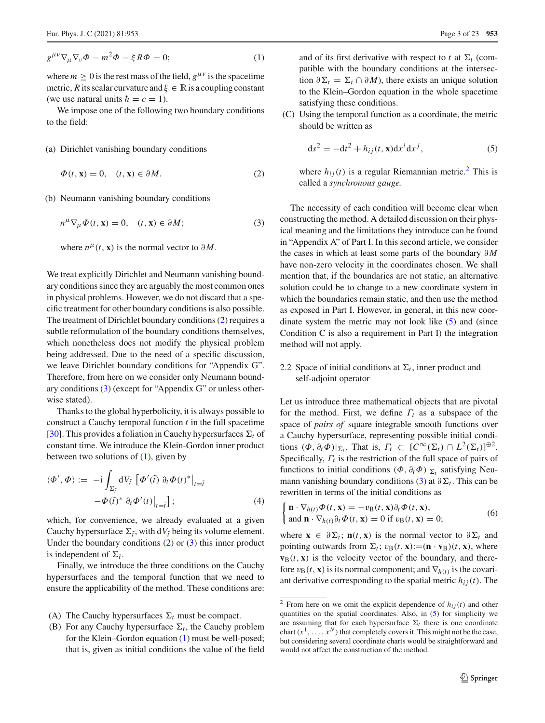<span id="page-2-2"></span>
$$
g^{\mu\nu}\nabla_{\mu}\nabla_{\nu}\Phi - m^2\Phi - \xi R\Phi = 0; \tag{1}
$$

where  $m > 0$  is the rest mass of the field,  $g^{\mu\nu}$  is the spacetime metric, *R* its scalar curvature and  $\xi \in \mathbb{R}$  is a coupling constant (we use natural units  $\hbar = c = 1$ ).

We impose one of the following two boundary conditions to the field:

## (a) Dirichlet vanishing boundary conditions

<span id="page-2-0"></span>
$$
\Phi(t, \mathbf{x}) = 0, \quad (t, \mathbf{x}) \in \partial M. \tag{2}
$$

(b) Neumann vanishing boundary conditions

<span id="page-2-1"></span>
$$
n^{\mu}\nabla_{\mu}\Phi(t,\mathbf{x})=0, \quad (t,\mathbf{x})\in\partial M;\tag{3}
$$

where  $n^{\mu}(t, \mathbf{x})$  is the normal vector to  $\partial M$ .

We treat explicitly Dirichlet and Neumann vanishing boundary conditions since they are arguably the most common ones in physical problems. However, we do not discard that a specific treatment for other boundary conditions is also possible. The treatment of Dirichlet boundary conditions [\(2\)](#page-2-0) requires a subtle reformulation of the boundary conditions themselves, which nonetheless does not modify the physical problem being addressed. Due to the need of a specific discussion, we leave Dirichlet boundary conditions for "Appendix G". Therefore, from here on we consider only Neumann boundary conditions [\(3\)](#page-2-1) (except for "Appendix G" or unless otherwise stated).

Thanks to the global hyperbolicity, it is always possible to construct a Cauchy temporal function *t* in the full spacetime [\[30](#page-22-10)]. This provides a foliation in Cauchy hypersurfaces  $\Sigma_t$  of constant time. We introduce the Klein-Gordon inner product between two solutions of  $(1)$ , given by

<span id="page-2-6"></span>
$$
\langle \Phi', \Phi \rangle := -i \int_{\Sigma_{\tilde{t}}} dV_{\tilde{t}} \left[ \Phi'(\tilde{t}) \partial_t \Phi(t)^* \big|_{t = \tilde{t}} -\Phi(\tilde{t})^* \partial_t \Phi'(t) \big|_{t = \tilde{t}} \right]; \tag{4}
$$

which, for convenience, we already evaluated at a given Cauchy hypersurface  $\Sigma_{\tilde{t}}$ , with d*V*<sub> $\tilde{t}$ </sub> being its volume element. Under the boundary conditions [\(2\)](#page-2-0) or [\(3\)](#page-2-1) this inner product is independent of  $\Sigma_{\tilde{t}}$ .

Finally, we introduce the three conditions on the Cauchy hypersurfaces and the temporal function that we need to ensure the applicability of the method. These conditions are:

- (A) The Cauchy hypersurfaces  $\Sigma_t$  must be compact.
- (B) For any Cauchy hypersurface  $\Sigma_t$ , the Cauchy problem for the Klein–Gordon equation [\(1\)](#page-2-2) must be well-posed; that is, given as initial conditions the value of the field

and of its first derivative with respect to *t* at  $\Sigma_t$  (compatible with the boundary conditions at the intersection  $\partial \Sigma_t = \Sigma_t \cap \partial M$ , there exists an unique solution to the Klein–Gordon equation in the whole spacetime satisfying these conditions.

(C) Using the temporal function as a coordinate, the metric should be written as

<span id="page-2-4"></span>
$$
ds2 = -dt2 + hij(t, \mathbf{x})dxi dxj,
$$
 (5)

where  $h_{ij}(t)$  is a regular Riemannian metric.<sup>[2](#page-2-3)</sup> This is called a *synchronous gauge.*

The necessity of each condition will become clear when constructing the method. A detailed discussion on their physical meaning and the limitations they introduce can be found in "Appendix A" of Part I. In this second article, we consider the cases in which at least some parts of the boundary ∂ *M* have non-zero velocity in the coordinates chosen. We shall mention that, if the boundaries are not static, an alternative solution could be to change to a new coordinate system in which the boundaries remain static, and then use the method as exposed in Part I. However, in general, in this new coordinate system the metric may not look like [\(5\)](#page-2-4) and (since Condition C is also a requirement in Part I) the integration method will not apply.

# <span id="page-2-7"></span>2.2 Space of initial conditions at  $\Sigma_t$ , inner product and self-adjoint operator

Let us introduce three mathematical objects that are pivotal for the method. First, we define Γ*t* as a subspace of the space of *pairs of* square integrable smooth functions over a Cauchy hypersurface, representing possible initial conditions  $(\Phi, \partial_t \Phi)|_{\Sigma_t}$ . That is,  $\Gamma_t \subset [C^{\infty}(\Sigma_t) \cap L^2(\Sigma_t)]^{\oplus 2}$ . Specifically, Γ*t* is the restriction of the full space of pairs of functions to initial conditions  $(\Phi, \partial_t \Phi)|_{\Sigma_t}$  satisfying Neu-mann vanishing boundary conditions [\(3\)](#page-2-1) at  $\partial \Sigma_t$ . This can be rewritten in terms of the initial conditions as

<span id="page-2-5"></span>
$$
\begin{cases} \mathbf{n} \cdot \nabla_{h(t)} \Phi(t, \mathbf{x}) = -v_{\mathbf{B}}(t, \mathbf{x}) \partial_t \Phi(t, \mathbf{x}), \\ \text{and } \mathbf{n} \cdot \nabla_{h(t)} \partial_t \Phi(t, \mathbf{x}) = 0 \text{ if } v_{\mathbf{B}}(t, \mathbf{x}) = 0; \end{cases} \tag{6}
$$

where  $\mathbf{x} \in \partial \Sigma_t$ ;  $\mathbf{n}(t, \mathbf{x})$  is the normal vector to  $\partial \Sigma_t$  and pointing outwards from  $\Sigma_t$ ;  $v_B(t, \mathbf{x}) := (\mathbf{n} \cdot \mathbf{v}_B)(t, \mathbf{x})$ , where  $\mathbf{v}_\text{B}(t, \mathbf{x})$  is the velocity vector of the boundary, and therefore  $v_B(t, \mathbf{x})$  is its normal component; and  $\nabla_{h(t)}$  is the covariant derivative corresponding to the spatial metric  $h_{ij}(t)$ . The

<span id="page-2-3"></span><sup>&</sup>lt;sup>2</sup> From here on we omit the explicit dependence of  $h_{ij}(t)$  and other quantities on the spatial coordinates. Also, in [\(5\)](#page-2-4) for simplicity we are assuming that for each hypersurface  $\Sigma_t$  there is one coordinate chart  $(x^1, \ldots, x^N)$  that completely covers it. This might not be the case, but considering several coordinate charts would be straightforward and would not affect the construction of the method.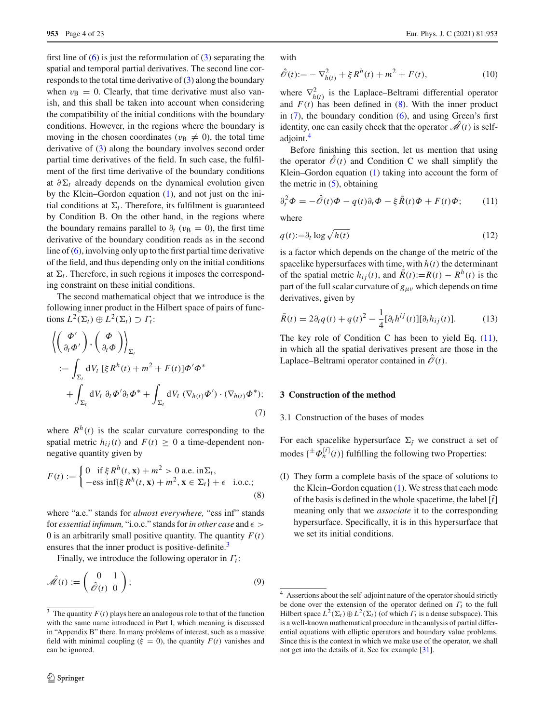first line of  $(6)$  is just the reformulation of  $(3)$  separating the spatial and temporal partial derivatives. The second line corresponds to the total time derivative of [\(3\)](#page-2-1) along the boundary when  $v_B = 0$ . Clearly, that time derivative must also vanish, and this shall be taken into account when considering the compatibility of the initial conditions with the boundary conditions. However, in the regions where the boundary is moving in the chosen coordinates ( $v_B \neq 0$ ), the total time derivative of [\(3\)](#page-2-1) along the boundary involves second order partial time derivatives of the field. In such case, the fulfilment of the first time derivative of the boundary conditions at  $\partial \Sigma_t$  already depends on the dynamical evolution given by the Klein–Gordon equation [\(1\)](#page-2-2), and not just on the initial conditions at  $\Sigma_t$ . Therefore, its fulfilment is guaranteed by Condition B. On the other hand, in the regions where the boundary remains parallel to  $\partial_t$  ( $v_B = 0$ ), the first time derivative of the boundary condition reads as in the second line of [\(6\)](#page-2-5), involving only up to the first partial time derivative of the field, and thus depending only on the initial conditions at  $\Sigma_t$ . Therefore, in such regions it imposes the corresponding constraint on these initial conditions.

The second mathematical object that we introduce is the following inner product in the Hilbert space of pairs of functions  $L^2(\Sigma_t) \oplus L^2(\Sigma_t) \supset \Gamma_t$ :

<span id="page-3-3"></span>
$$
\left\langle \begin{pmatrix} \Phi' \\ \partial_t \Phi' \end{pmatrix}, \begin{pmatrix} \Phi \\ \partial_t \Phi \end{pmatrix} \right\rangle_{\Sigma_t}
$$
  
:=  $\int_{\Sigma_t} dV_t \, [\xi R^h(t) + m^2 + F(t)] \Phi' \Phi^*$   
+  $\int_{\Sigma_t} dV_t \, \partial_t \Phi' \partial_t \Phi^* + \int_{\Sigma_t} dV_t \, (\nabla_{h(t)} \Phi') \cdot (\nabla_{h(t)} \Phi^*);$  (7)

where  $R^h(t)$  is the scalar curvature corresponding to the spatial metric  $h_{ij}(t)$  and  $F(t) \geq 0$  a time-dependent nonnegative quantity given by

<span id="page-3-2"></span>
$$
F(t) := \begin{cases} 0 & \text{if } \xi R^h(t, \mathbf{x}) + m^2 > 0 \text{ a.e. in } \Sigma_t, \\ -\text{ess inf}\{\xi R^h(t, \mathbf{x}) + m^2, \mathbf{x} \in \Sigma_t\} + \epsilon \quad \text{i.o.c.}; \end{cases}
$$
(8)

where "a.e." stands for *almost everywhere,* "ess inf" stands for *essential infimum*, "i.o.c." stands for *in other case* and  $\epsilon$ 0 is an arbitrarily small positive quantity. The quantity  $F(t)$ ensures that the inner product is positive-definite.<sup>[3](#page-3-1)</sup>

Finally, we introduce the following operator in Γ*t* :

<span id="page-3-6"></span>
$$
\hat{\mathcal{M}}(t) := \begin{pmatrix} 0 & 1 \\ \hat{\mathcal{O}}(t) & 0 \end{pmatrix};\tag{9}
$$

with

<span id="page-3-8"></span>
$$
\hat{\mathcal{O}}(t) := -\nabla_{h(t)}^2 + \xi R^h(t) + m^2 + F(t),\tag{10}
$$

where  $\nabla^2_{h(t)}$  is the Laplace–Beltrami differential operator and  $F(t)$  has been defined in  $(8)$ . With the inner product in  $(7)$ , the boundary condition  $(6)$ , and using Green's first identity, one can easily check that the operator  $\hat{\mathcal{M}}(t)$  is selfadjoint[.4](#page-3-4)

Before finishing this section, let us mention that using the operator  $\hat{\mathcal{O}}(t)$  and Condition C we shall simplify the Klein–Gordon equation [\(1\)](#page-2-2) taking into account the form of the metric in  $(5)$ , obtaining

<span id="page-3-5"></span>
$$
\partial_t^2 \Phi = -\hat{\mathcal{O}}(t)\Phi - q(t)\partial_t \Phi - \xi \bar{R}(t)\Phi + F(t)\Phi; \qquad (11)
$$

where

<span id="page-3-10"></span>
$$
q(t) := \partial_t \log \sqrt{h(t)} \tag{12}
$$

is a factor which depends on the change of the metric of the spacelike hypersurfaces with time, with  $h(t)$  the determinant of the spatial metric  $h_{ij}(t)$ , and  $\overline{R}(t) := R(t) - R^h(t)$  is the part of the full scalar curvature of *g*μν which depends on time derivatives, given by

<span id="page-3-9"></span>
$$
\bar{R}(t) = 2\partial_t q(t) + q(t)^2 - \frac{1}{4} [\partial_t h^{ij}(t)][\partial_t h_{ij}(t)].
$$
\n(13)

The key role of Condition C has been to yield Eq.  $(11)$ , in which all the spatial derivatives present are those in the Laplace–Beltrami operator contained in  $\mathcal{O}(t)$ .

## <span id="page-3-7"></span><span id="page-3-0"></span>**3 Construction of the method**

#### 3.1 Construction of the bases of modes

For each spacelike hypersurface  $\Sigma_{\tilde{t}}$  we construct a set of modes  $\{\pm \Phi_n^{[\tilde{t}]}(t)\}\$  fulfilling the following two Properties:

(I) They form a complete basis of the space of solutions to the Klein–Gordon equation [\(1\)](#page-2-2). We stress that each mode of the basis is defined in the whole spacetime, the label  $[\tilde{t}]$ meaning only that we *associate* it to the corresponding hypersurface. Specifically, it is in this hypersurface that we set its initial conditions.

<span id="page-3-1"></span><sup>&</sup>lt;sup>3</sup> The quantity  $F(t)$  plays here an analogous role to that of the function with the same name introduced in Part I, which meaning is discussed in "Appendix B" there. In many problems of interest, such as a massive field with minimal coupling ( $\xi = 0$ ), the quantity  $F(t)$  vanishes and can be ignored.

<span id="page-3-4"></span><sup>&</sup>lt;sup>4</sup> Assertions about the self-adjoint nature of the operator should strictly be done over the extension of the operator defined on Γ*t* to the full Hilbert space  $L^2(\Sigma_t) \oplus L^2(\Sigma_t)$  (of which  $\Gamma_t$  is a dense subspace). This is a well-known mathematical procedure in the analysis of partial differential equations with elliptic operators and boundary value problems. Since this is the context in which we make use of the operator, we shall not get into the details of it. See for example [\[31\]](#page-22-11).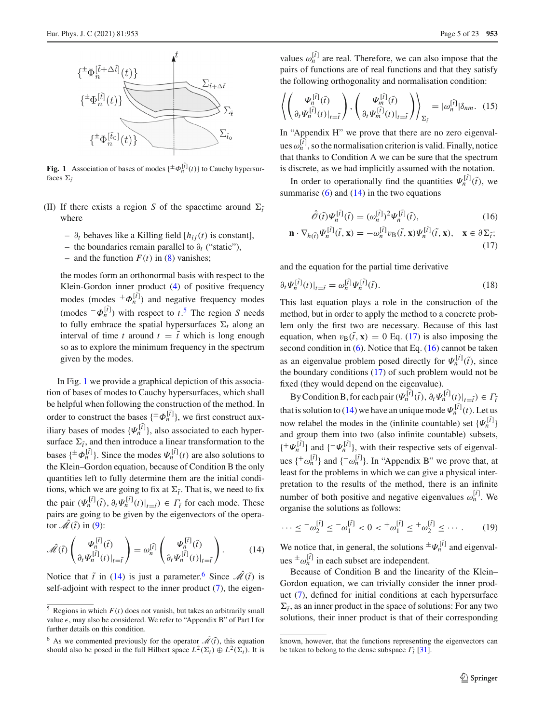

<span id="page-4-1"></span>**Fig. 1** Association of bases of modes  $\{\pm \Phi_n^{[\hat{t}]}(t)\}$  to Cauchy hypersurfaces  $\Sigma_{\tilde{t}}$ 

- (II) If there exists a region *S* of the spacetime around  $\Sigma_i$ where
	- ∂*<sup>t</sup>* behaves like a Killing field [*hi j*(*t*) is constant],
	- the boundaries remain parallel to ∂*t* ("static"),
	- and the function  $F(t)$  in [\(8\)](#page-3-2) vanishes;

the modes form an orthonormal basis with respect to the Klein-Gordon inner product [\(4\)](#page-2-6) of positive frequency modes (modes  $+\Phi_n^{[\tilde{t}]}$ ) and negative frequency modes  $(\text{modes} \, \bar{\phi}_n^{[\tilde{t}]})$  with respect to  $t^{\tilde{t}}$ . The region *S* needs to fully embrace the spatial hypersurfaces  $\Sigma_t$  along an interval of time *t* around  $t = \tilde{t}$  which is long enough so as to explore the minimum frequency in the spectrum given by the modes.

In Fig. [1](#page-4-1) we provide a graphical depiction of this association of bases of modes to Cauchy hypersurfaces, which shall be helpful when following the construction of the method. In order to construct the bases  $\{\pm \Phi_n^{[\tilde{t}]} \}$ , we first construct auxiliary bases of modes  $\{\Psi_n^{[\tilde{t}]} \}$ , also associated to each hypersurface  $\Sigma_{\tilde{t}}$ , and then introduce a linear transformation to the bases  $\{\pm \Phi_n^{[\tilde{t}]} \}$ . Since the modes  $\Psi_n^{[\tilde{t}]}(t)$  are also solutions to the Klein–Gordon equation, because of Condition B the only quantities left to fully determine them are the initial conditions, which we are going to fix at  $\Sigma_{\tilde{t}}$ . That is, we need to fix the pair  $(\Psi_n^{[\tilde{t}]}(\tilde{t}), \partial_t \Psi_n^{[\tilde{t}]}(t)|_{t=\tilde{t}}) \in \Gamma_{\tilde{t}}$  for each mode. These pairs are going to be given by the eigenvectors of the operator  $\mathscr{M}(\tilde{t})$  in [\(9\)](#page-3-6):

<span id="page-4-2"></span>
$$
\hat{\mathcal{M}}(\tilde{t})\begin{pmatrix} \Psi_n^{[\tilde{t}]}(\tilde{t}) \\ \partial_t \Psi_n^{[\tilde{t}]}(t)|_{t=\tilde{t}} \end{pmatrix} = \omega_n^{[\tilde{t}]} \begin{pmatrix} \Psi_n^{[\tilde{t}]}(\tilde{t}) \\ \partial_t \Psi_n^{[\tilde{t}]}(t)|_{t=\tilde{t}} \end{pmatrix}.
$$
 (14)

Notice that  $\tilde{t}$  in [\(14\)](#page-4-2) is just a parameter.<sup>[6](#page-4-3)</sup> Since  $\hat{\mathcal{M}}(\tilde{t})$  is self-adjoint with respect to the inner product  $(7)$ , the eigen-

values  $\omega_n^{[\tilde{t}]}$  are real. Therefore, we can also impose that the pairs of functions are of real functions and that they satisfy the following orthogonality and normalisation condition:

<span id="page-4-6"></span>
$$
\left\langle \begin{pmatrix} \Psi_n^{[\tilde{t}]}(\tilde{t}) \\ \partial_t \Psi_n^{[\tilde{t}]}(t) \end{pmatrix}, \begin{pmatrix} \Psi_m^{[\tilde{t}]}(\tilde{t}) \\ \partial_t \Psi_m^{[\tilde{t}]}(t) \end{pmatrix} \right\rangle_{\Sigma_{\tilde{t}}} = |\omega_n^{[\tilde{t}]}| \delta_{nm}. (15)
$$

In "Appendix H" we prove that there are no zero eigenvalues  $\omega_n^{[\tilde{t}]}$ , so the normalisation criterion is valid. Finally, notice that thanks to Condition A we can be sure that the spectrum is discrete, as we had implicitly assumed with the notation.

In order to operationally find the quantities  $\Psi_n^{[\tilde{t}]}(\tilde{t})$ , we summarise  $(6)$  and  $(14)$  in the two equations

<span id="page-4-5"></span><span id="page-4-4"></span>
$$
\hat{\mathcal{O}}(\tilde{t})\Psi_n^{[\tilde{t}]}(\tilde{t}) = (\omega_n^{[\tilde{t}]})^2 \Psi_n^{[\tilde{t}]}(\tilde{t}),\tag{16}
$$

$$
\mathbf{n} \cdot \nabla_{h(\tilde{t})} \Psi_n^{[\tilde{t}]}(\tilde{t}, \mathbf{x}) = -\omega_n^{[\tilde{t}]} v_\mathbf{B}(\tilde{t}, \mathbf{x}) \Psi_n^{[\tilde{t}]}(\tilde{t}, \mathbf{x}), \quad \mathbf{x} \in \partial \Sigma_{\tilde{t}}; \tag{17}
$$

and the equation for the partial time derivative

<span id="page-4-7"></span>
$$
\partial_t \Psi_n^{[\tilde{I}]}(t)|_{t=\tilde{I}} = \omega_n^{[\tilde{I}]} \Psi_n^{[\tilde{I}]}(\tilde{I}).\tag{18}
$$

This last equation plays a role in the construction of the method, but in order to apply the method to a concrete problem only the first two are necessary. Because of this last equation, when  $v_B(\tilde{t}, \mathbf{x}) = 0$  Eq. [\(17\)](#page-4-4) is also imposing the second condition in [\(6\)](#page-2-5). Notice that Eq. [\(16\)](#page-4-5) cannot be taken as an eigenvalue problem posed directly for  $\Psi_n^{[\tilde{t}]}(\tilde{t})$ , since the boundary conditions [\(17\)](#page-4-4) of such problem would not be fixed (they would depend on the eigenvalue).

By Condition B, for each pair  $(\Psi_n^{[\tilde{t}]}(\tilde{t}), \partial_t \Psi_n^{[\tilde{t}]}(t)|_{t=\tilde{t}}) \in \Gamma_{\tilde{t}}$ that is solution to [\(14\)](#page-4-2) we have an unique mode  $\Psi_n^{[\tilde{t}]}(t)$ . Let us now relabel the modes in the (infinite countable) set  $\{\Psi_n^{[\tilde{i}]} \}$ and group them into two (also infinite countable) subsets,  $\{\pm \Psi_n^{[\tilde{t}]} \}$  and  $\{\pm \Psi_n^{[\tilde{t}]} \}$ , with their respective sets of eigenvalues  $\{\pm \omega_n^{[\tilde{t}]} \}$  and  $\{\pm \omega_n^{[\tilde{t}]} \}$ . In "Appendix B" we prove that, at least for the problems in which we can give a physical interpretation to the results of the method, there is an infinite number of both positive and negative eigenvalues  $\omega_n^{[\tilde{t}]}$ . We organise the solutions as follows:

$$
\cdots \leq -\omega_2^{[\tilde{t}]} \leq -\omega_1^{[\tilde{t}]} < 0 < +\omega_1^{[\tilde{t}]} \leq +\omega_2^{[\tilde{t}]} \leq \cdots \,. \tag{19}
$$

We notice that, in general, the solutions  $\pm \Psi_n^{[\tilde{t}]}$  and eigenvalues  $\pm \omega_n^{[\tilde{t}]}$  in each subset are independent.

Because of Condition B and the linearity of the Klein– Gordon equation, we can trivially consider the inner product [\(7\)](#page-3-3), defined for initial conditions at each hypersurface  $\Sigma_{\tilde{t}}$ , as an inner product in the space of solutions: For any two solutions, their inner product is that of their corresponding

<span id="page-4-0"></span> $5$  Regions in which  $F(t)$  does not vanish, but takes an arbitrarily small value  $\epsilon$ , may also be considered. We refer to "Appendix B" of Part I for further details on this condition.

<span id="page-4-3"></span><sup>&</sup>lt;sup>6</sup> As we commented previously for the operator  $\hat{\mathcal{M}}(\tilde{t})$ , this equation should also be posed in the full Hilbert space  $L^2(\Sigma_t) \oplus L^2(\Sigma_t)$ . It is

known, however, that the functions representing the eigenvectors can be taken to belong to the dense subspace  $\Gamma_{\tilde{t}}$  [\[31](#page-22-11)].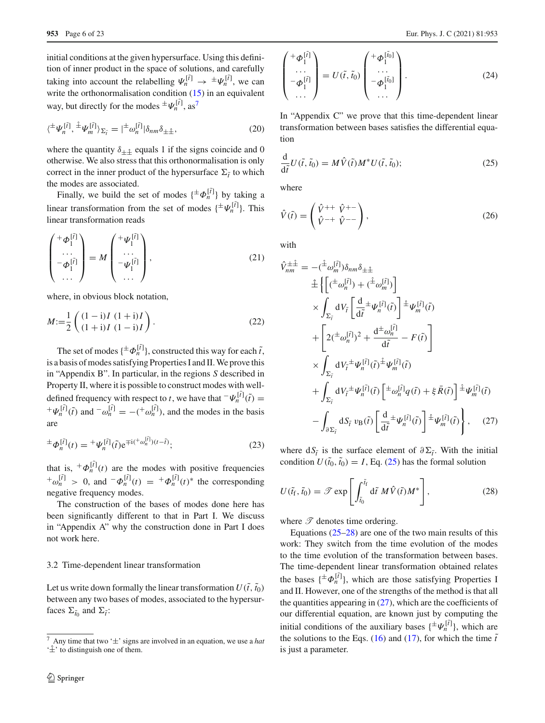initial conditions at the given hypersurface. Using this definition of inner product in the space of solutions, and carefully taking into account the relabelling  $\Psi_n^{[\tilde{t}]} \to {}^{\pm} \Psi_n^{[\tilde{t}]}$ , we can write the orthonormalisation condition [\(15\)](#page-4-6) in an equivalent way, but directly for the modes  $\pm \Psi_n^{[\tilde{t}]}$ , as<sup>[7](#page-5-0)</sup>

<span id="page-5-8"></span>
$$
\langle {}^{\pm} \Psi_n^{[\tilde{t}]} , {}^{\pm} \Psi_m^{[\tilde{t}]} \rangle_{\Sigma_{\tilde{t}}} = | {}^{\pm} \omega_n^{[\tilde{t}]} | \delta_{nm} \delta_{\pm \hat{\pm}}, \tag{20}
$$

where the quantity  $\delta_{\perp \hat{+}}$  equals 1 if the signs coincide and 0 otherwise. We also stress that this orthonormalisation is only correct in the inner product of the hypersurface  $\Sigma_{\tilde{t}}$  to which the modes are associated.

Finally, we build the set of modes  $\{\pm \Phi_n^{[\tilde{t}]} \}$  by taking a linear transformation from the set of modes  $\{\pm \Psi_n^{[\tilde{t}]} \}$ . This linear transformation reads

<span id="page-5-7"></span>
$$
\begin{pmatrix} +\varPhi_1^{[\tilde{t}]} \\ \cdots \\ -\varPhi_1^{[\tilde{t}]} \\ \cdots \end{pmatrix} = M \begin{pmatrix} +\psi_1^{[\tilde{t}]} \\ \cdots \\ -\psi_1^{[\tilde{t}]} \\ \cdots \end{pmatrix}, \qquad (21)
$$

where, in obvious block notation,

<span id="page-5-5"></span>
$$
M := \frac{1}{2} \left( \frac{(1 - \mathbf{i})I (1 + \mathbf{i})I}{(1 + \mathbf{i})I (1 - \mathbf{i})I} \right). \tag{22}
$$

The set of modes  $\{\pm \Phi_n^{[\tilde{t}]} \}$ , constructed this way for each  $\tilde{t}$ , is a basis of modes satisfying Properties I and II. We prove this in "Appendix B". In particular, in the regions *S* described in Property II, where it is possible to construct modes with welldefined frequency with respect to *t*, we have that  $\neg \Psi_n^{[\tilde{t}]}(\tilde{t}) =$  ${}^+\Psi_n^{[\tilde{t}]}(\tilde{t})$  and  ${}^-\omega_n^{[\tilde{t}]} = -({}^+\omega_n^{[\tilde{t}]}),$  and the modes in the basis are

<span id="page-5-4"></span>
$$
\pm \Phi_n^{[\tilde{t}]}(t) = \pm \Psi_n^{[\tilde{t}]}(\tilde{t}) e^{\mp i(\pm \omega_n^{[\tilde{t}]})(t-\tilde{t})};\tag{23}
$$

that is,  ${}^+\Phi_n^{[\tilde{t}]}(t)$  are the modes with positive frequencies  $+\omega_n^{[\tilde{t}]} > 0$ , and  $-\Phi_n^{[\tilde{t}]}(t) = +\Phi_n^{[\tilde{t}]}(t)^*$  the corresponding negative frequency modes.

The construction of the bases of modes done here has been significantly different to that in Part I. We discuss in "Appendix A" why the construction done in Part I does not work here.

#### <span id="page-5-9"></span>3.2 Time-dependent linear transformation

Let us write down formally the linear transformation  $U(\tilde{t}, \tilde{t}_0)$ between any two bases of modes, associated to the hypersurfaces  $\Sigma_{\tilde{t}_0}$  and  $\Sigma_{\tilde{t}}$ :

$$
\begin{pmatrix} +\boldsymbol{\Phi}_1^{[\tilde{t}]} \\ \cdots \\ -\boldsymbol{\Phi}_1^{[\tilde{t}]} \\ \cdots \end{pmatrix} = U(\tilde{t}, \tilde{t}_0) \begin{pmatrix} +\boldsymbol{\Phi}_1^{[\tilde{t}_0]} \\ \cdots \\ -\boldsymbol{\Phi}_1^{[\tilde{t}_0]} \\ \cdots \end{pmatrix} . \tag{24}
$$

In "Appendix C" we prove that this time-dependent linear transformation between bases satisfies the differential equation

<span id="page-5-1"></span>
$$
\frac{\mathrm{d}}{\mathrm{d}\tilde{t}}U(\tilde{t},\tilde{t}_0) = M\hat{V}(\tilde{t})M^*U(\tilde{t},\tilde{t}_0);
$$
\n(25)

where

<span id="page-5-6"></span>
$$
\hat{V}(\tilde{t}) = \begin{pmatrix} \hat{V}^{++} & \hat{V}^{+-} \\ \hat{V}^{-+} & \hat{V}^{--} \end{pmatrix},\tag{26}
$$

with

<span id="page-5-3"></span>
$$
\hat{V}_{nm}^{\pm\hat{\pm}} = -(\hat{\pm}\omega_m^{[\tilde{I}]})\delta_{nm}\delta_{\pm\hat{\pm}}
$$
\n
$$
\hat{\pm}\left\{ \left[ (\pm\omega_n^{[\tilde{I}]} ) + (\hat{\pm}\omega_m^{[\tilde{I}]} ) \right] \right\}
$$
\n
$$
\times \int_{\Sigma_{\tilde{I}}} dV_{\tilde{I}} \left[ \frac{d}{d\tilde{t}} \pm \psi_n^{[\tilde{I}]}(\tilde{t}) \right] \hat{\pm}\psi_m^{[\tilde{I}]}(\tilde{t})
$$
\n
$$
+ \left[ 2(\pm\omega_n^{[\tilde{I}]})^2 + \frac{d^{\pm}\omega_n^{[\tilde{I}]} }{d\tilde{t}} - F(\tilde{t}) \right]
$$
\n
$$
\times \int_{\Sigma_{\tilde{I}}} dV_{\tilde{I}} \pm \psi_n^{[\tilde{I}]}(\tilde{t}) \hat{\pm}\psi_m^{[\tilde{I}]}(\tilde{t})
$$
\n
$$
+ \int_{\Sigma_{\tilde{I}}} dV_{\tilde{I}} \pm \psi_n^{[\tilde{I}]}(\tilde{t}) \left[ \pm\omega_n^{[\tilde{I}]} q(\tilde{t}) + \xi \bar{R}(\tilde{t}) \right] \hat{\pm}\psi_m^{[\tilde{I}]}(\tilde{t})
$$
\n
$$
- \int_{\partial\Sigma_{\tilde{I}}} dS_{\tilde{I}} v_B(\tilde{t}) \left[ \frac{d}{d\tilde{t}} \pm \psi_n^{[\tilde{I}]}(\tilde{t}) \right] \hat{\pm}\psi_m^{[\tilde{I}]}(\tilde{t})
$$
\n(27)

where  $dS_{\tilde{t}}$  is the surface element of  $\partial \Sigma_{\tilde{t}}$ . With the initial condition  $U(\tilde{t}_0, \tilde{t}_0) = I$ , Eq. [\(25\)](#page-5-1) has the formal solution

<span id="page-5-2"></span>
$$
U(\tilde{t}_{\rm f},\tilde{t}_{0}) = \mathscr{T} \exp\left[\int_{\tilde{t}_{0}}^{\tilde{t}_{\rm f}} d\tilde{t} M \hat{V}(\tilde{t}) M^{*}\right],
$$
 (28)

where  $\mathscr T$  denotes time ordering.

Equations  $(25-28)$  $(25-28)$  are one of the two main results of this work: They switch from the time evolution of the modes to the time evolution of the transformation between bases. The time-dependent linear transformation obtained relates the bases  $\{\pm \Phi_n^{[\tilde{t}]} \}$ , which are those satisfying Properties I and II. However, one of the strengths of the method is that all the quantities appearing in  $(27)$ , which are the coefficients of our differential equation, are known just by computing the initial conditions of the auxiliary bases  $\{\pm \Psi_n^{[\tilde{\tau}]} \}$ , which are the solutions to the Eqs. [\(16\)](#page-4-5) and [\(17\)](#page-4-4), for which the time  $\tilde{t}$ is just a parameter.

<span id="page-5-0"></span>Any time that two ' $\pm$ ' signs are involved in an equation, we use a *hat*  $\hat{+}$ <sup>'</sup> to distinguish one of them.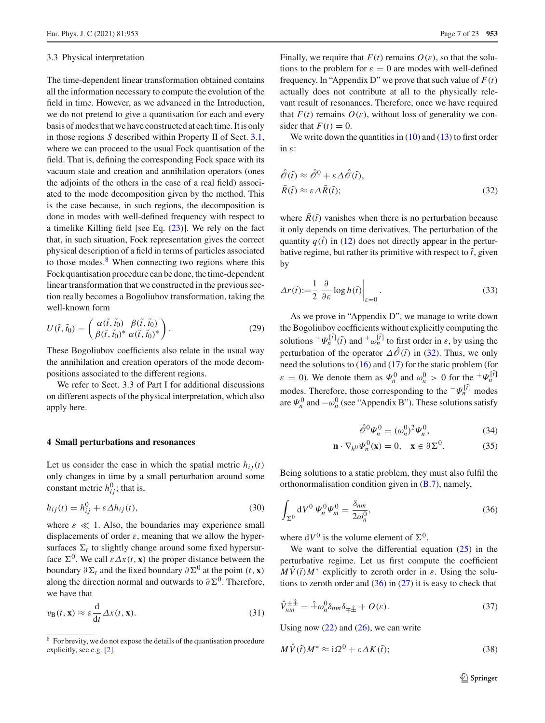#### <span id="page-6-11"></span>3.3 Physical interpretation

The time-dependent linear transformation obtained contains all the information necessary to compute the evolution of the field in time. However, as we advanced in the Introduction, we do not pretend to give a quantisation for each and every basis of modes that we have constructed at each time. It is only in those regions *S* described within Property II of Sect. [3.1,](#page-3-7) where we can proceed to the usual Fock quantisation of the field. That is, defining the corresponding Fock space with its vacuum state and creation and annihilation operators (ones the adjoints of the others in the case of a real field) associated to the mode decomposition given by the method. This is the case because, in such regions, the decomposition is done in modes with well-defined frequency with respect to a timelike Killing field [see Eq. [\(23\)](#page-5-4)]. We rely on the fact that, in such situation, Fock representation gives the correct physical description of a field in terms of particles associated to those modes. $8$  When connecting two regions where this Fock quantisation procedure can be done, the time-dependent linear transformation that we constructed in the previous section really becomes a Bogoliubov transformation, taking the well-known form

$$
U(\tilde{t},\tilde{t}_0) = \begin{pmatrix} \alpha(\tilde{t},\tilde{t}_0) & \beta(\tilde{t},\tilde{t}_0) \\ \beta(\tilde{t},\tilde{t}_0)^* & \alpha(\tilde{t},\tilde{t}_0)^* \end{pmatrix}.
$$
 (29)

These Bogoliubov coefficients also relate in the usual way the annihilation and creation operators of the mode decompositions associated to the different regions.

We refer to Sect. 3.3 of Part I for additional discussions on different aspects of the physical interpretation, which also apply here.

#### <span id="page-6-0"></span>**4 Small perturbations and resonances**

Let us consider the case in which the spatial metric  $h_{ij}(t)$ only changes in time by a small perturbation around some constant metric  $h_{ij}^0$ ; that is,

<span id="page-6-8"></span>
$$
h_{ij}(t) = h_{ij}^0 + \varepsilon \Delta h_{ij}(t),
$$
\n(30)

where  $\varepsilon \ll 1$ . Also, the boundaries may experience small displacements of order  $\varepsilon$ , meaning that we allow the hypersurfaces  $\Sigma_t$  to slightly change around some fixed hypersurface  $\Sigma^0$ . We call  $\varepsilon \Delta x(t, x)$  the proper distance between the boundary  $\partial \Sigma_t$  and the fixed boundary  $\partial \Sigma^0$  at the point  $(t, \mathbf{x})$ along the direction normal and outwards to  $\partial \Sigma^0$ . Therefore, we have that

<span id="page-6-9"></span>
$$
v_{\mathbf{B}}(t, \mathbf{x}) \approx \varepsilon \frac{d}{dt} \Delta x(t, \mathbf{x}).
$$
\n(31)

Finally, we require that  $F(t)$  remains  $O(\varepsilon)$ , so that the solutions to the problem for  $\varepsilon = 0$  are modes with well-defined frequency. In "Appendix D" we prove that such value of  $F(t)$ actually does not contribute at all to the physically relevant result of resonances. Therefore, once we have required that  $F(t)$  remains  $O(\varepsilon)$ , without loss of generality we consider that  $F(t) = 0$ .

We write down the quantities in  $(10)$  and  $(13)$  to first order in ε:

<span id="page-6-2"></span>
$$
\hat{\partial}(\tilde{t}) \approx \hat{\partial}^0 + \varepsilon \Delta \hat{\partial}(\tilde{t}),
$$
  
\n
$$
\bar{R}(\tilde{t}) \approx \varepsilon \Delta \bar{R}(\tilde{t});
$$
\n(32)

where  $R(\tilde{t})$  vanishes when there is no perturbation because it only depends on time derivatives. The perturbation of the quantity  $q(\tilde{t})$  in [\(12\)](#page-3-10) does not directly appear in the perturbative regime, but rather its primitive with respect to  $\tilde{t}$ , given by

<span id="page-6-7"></span>
$$
\Delta r(\tilde{t}) := \frac{1}{2} \left. \frac{\partial}{\partial \varepsilon} \log h(\tilde{t}) \right|_{\varepsilon=0}.
$$
\n(33)

As we prove in "Appendix D", we manage to write down the Bogoliubov coefficients without explicitly computing the solutions  $\pm \Psi_n^{[\tilde{t}]}(\tilde{t})$  and  $\pm \omega_n^{[\tilde{t}]}$  to first order in  $\varepsilon$ , by using the perturbation of the operator  $\Delta\mathcal{O}(\tilde{t})$  in [\(32\)](#page-6-2). Thus, we only need the solutions to [\(16\)](#page-4-5) and [\(17\)](#page-4-4) for the static problem (for  $\varepsilon = 0$ ). We denote them as  $\Psi_n^0$  and  $\omega_n^0 > 0$  for the  $\psi_n^{[\tilde{t}]}$ modes. Therefore, those corresponding to the  $-\Psi_n^{[\tilde{t}]}$  modes are  $\Psi_n^0$  and  $-\omega_n^0$  (see "Appendix B"). These solutions satisfy

<span id="page-6-6"></span><span id="page-6-5"></span>
$$
\hat{\mathscr{O}}^0 \Psi_n^0 = (\omega_n^0)^2 \Psi_n^0, \tag{34}
$$

$$
\mathbf{n} \cdot \nabla_{h^0} \Psi_n^0(\mathbf{x}) = 0, \quad \mathbf{x} \in \partial \Sigma^0.
$$
 (35)

Being solutions to a static problem, they must also fulfil the orthonormalisation condition given in  $(B.7)$ , namely,

<span id="page-6-3"></span>
$$
\int_{\Sigma^0} dV^0 \, \Psi_n^0 \Psi_m^0 = \frac{\delta_{nm}}{2\omega_n^0},\tag{36}
$$

where  $dV^0$  is the volume element of  $\Sigma^0$ .

We want to solve the differential equation  $(25)$  in the perturbative regime. Let us first compute the coefficient  $M\dot{V}(\tilde{t})M^*$  explicitly to zeroth order in  $\varepsilon$ . Using the solutions to zeroth order and  $(36)$  in  $(27)$  it is easy to check that

<span id="page-6-10"></span>
$$
\hat{V}_{nm}^{\pm\hat{\pm}} = \hat{\pm}\omega_n^0 \delta_{nm} \delta_{\mp\hat{\pm}} + O(\varepsilon). \tag{37}
$$

Using now  $(22)$  and  $(26)$ , we can write

<span id="page-6-4"></span>
$$
M\hat{V}(\tilde{t})M^* \approx \mathrm{i}\Omega^0 + \varepsilon \Delta K(\tilde{t});\tag{38}
$$

<span id="page-6-1"></span><sup>&</sup>lt;sup>8</sup> For brevity, we do not expose the details of the quantisation procedure explicitly, see e.g. [\[2\]](#page-21-7).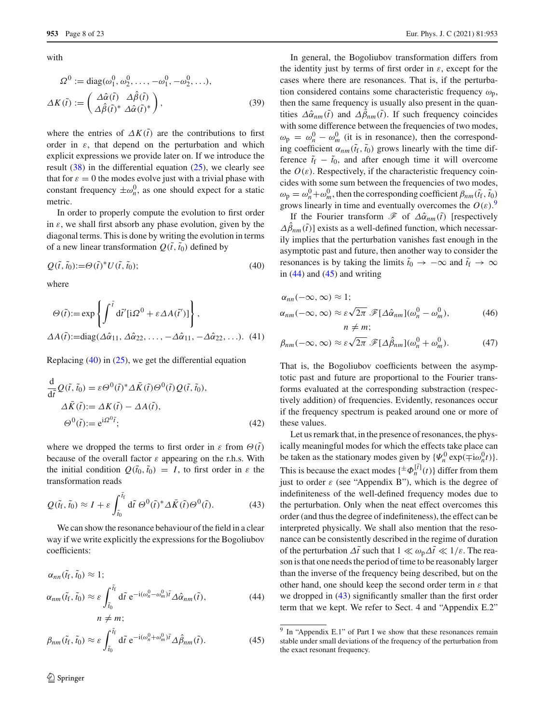with

$$
\Omega^0 := \text{diag}(\omega_1^0, \omega_2^0, \dots, -\omega_1^0, -\omega_2^0, \dots),
$$
  

$$
\Delta K(\tilde{t}) := \begin{pmatrix} \Delta \hat{\alpha}(\tilde{t}) & \Delta \hat{\beta}(\tilde{t}) \\ \Delta \hat{\beta}(\tilde{t})^* & \Delta \hat{\alpha}(\tilde{t})^* \end{pmatrix},
$$
(39)

where the entries of  $\Delta K(\tilde{t})$  are the contributions to first order in  $\varepsilon$ , that depend on the perturbation and which explicit expressions we provide later on. If we introduce the result  $(38)$  in the differential equation  $(25)$ , we clearly see that for  $\varepsilon = 0$  the modes evolve just with a trivial phase with constant frequency  $\pm \omega_n^0$ , as one should expect for a static metric.

In order to properly compute the evolution to first order in  $\varepsilon$ , we shall first absorb any phase evolution, given by the diagonal terms. This is done by writing the evolution in terms of a new linear transformation  $Q(\tilde{t}, \tilde{t}_0)$  defined by

<span id="page-7-0"></span>
$$
Q(\tilde{t}, \tilde{t}_0) := \Theta(\tilde{t})^* U(\tilde{t}, \tilde{t}_0); \tag{40}
$$

where

$$
\Theta(\tilde{t}) := \exp\left\{ \int^{\tilde{t}} d\tilde{t}' [\mathrm{i}\Omega^{0} + \varepsilon \Delta A(\tilde{t}')] \right\},
$$
  

$$
\Delta A(\tilde{t}) := \mathrm{diag}(\Delta \hat{\alpha}_{11}, \Delta \hat{\alpha}_{22}, \dots, -\Delta \hat{\alpha}_{11}, -\Delta \hat{\alpha}_{22}, \dots).
$$
 (41)

Replacing [\(40\)](#page-7-0) in [\(25\)](#page-5-1), we get the differential equation

$$
\frac{d}{d\tilde{t}} Q(\tilde{t}, \tilde{t}_0) = \varepsilon \Theta^0(\tilde{t})^* \Delta \bar{K}(\tilde{t}) \Theta^0(\tilde{t}) Q(\tilde{t}, \tilde{t}_0),
$$
  

$$
\Delta \bar{K}(\tilde{t}) := \Delta K(\tilde{t}) - \Delta A(\tilde{t}),
$$
  

$$
\Theta^0(\tilde{t}) := e^{i\Omega^0 \tilde{t}};
$$
 (42)

where we dropped the terms to first order in  $\varepsilon$  from  $\Theta(\tilde{t})$ because of the overall factor  $\varepsilon$  appearing on the r.h.s. With the initial condition  $Q(\tilde{t}_0, \tilde{t}_0) = I$ , to first order in  $\varepsilon$  the transformation reads

<span id="page-7-4"></span>
$$
Q(\tilde{t}_{\rm f},\tilde{t}_0) \approx I + \varepsilon \int_{\tilde{t}_0}^{\tilde{t}_{\rm f}} d\tilde{t} \,\Theta^0(\tilde{t})^* \Delta \bar{K}(\tilde{t}) \Theta^0(\tilde{t}).\tag{43}
$$

We can show the resonance behaviour of the field in a clear way if we write explicitly the expressions for the Bogoliubov coefficients:

$$
\alpha_{nn}(\tilde{t}_{f}, \tilde{t}_{0}) \approx 1; \n\alpha_{nm}(\tilde{t}_{f}, \tilde{t}_{0}) \approx \varepsilon \int_{\tilde{t}_{0}}^{\tilde{t}_{f}} d\tilde{t} e^{-i(\omega_{n}^{0} - \omega_{m}^{0})\tilde{t}} \Delta \hat{\alpha}_{nm}(\tilde{t}), \nn \neq m;
$$
\n(44)

$$
\beta_{nm}(\tilde{t}_{\rm f},\tilde{t}_0) \approx \varepsilon \int_{\tilde{t}_0}^{\tilde{t}_{\rm f}} d\tilde{t} \,\mathrm{e}^{-\mathrm{i}(\omega_n^0 + \omega_m^0)\tilde{t}} \Delta \hat{\beta}_{nm}(\tilde{t}).\tag{45}
$$

<span id="page-7-8"></span>In general, the Bogoliubov transformation differs from the identity just by terms of first order in  $\varepsilon$ , except for the cases where there are resonances. That is, if the perturbation considered contains some characteristic frequency  $\omega_{\rm p}$ , then the same frequency is usually also present in the quantities  $\Delta \hat{\alpha}_{nm}(\tilde{t})$  and  $\Delta \hat{\beta}_{nm}(\tilde{t})$ . If such frequency coincides with some difference between the frequencies of two modes,  $\omega_{\rm p} = \omega_n^0 - \omega_m^0$  (it is in resonance), then the corresponding coefficient  $\alpha_{nm}(\tilde{t}_{\rm f}, \tilde{t}_{\rm 0})$  grows linearly with the time difference  $\tilde{t}_f - \tilde{t}_0$ , and after enough time it will overcome the  $O(\varepsilon)$ . Respectively, if the characteristic frequency coincides with some sum between the frequencies of two modes,  $\omega_{\rm p} = \omega_n^0 + \omega_m^0$ , then the corresponding coefficient  $\beta_{nm}(\tilde{t}_{\rm f}, \tilde{t}_{\rm 0})$ grows linearly in time and eventually overcomes the  $O(\varepsilon)$ .<sup>[9](#page-7-1)</sup>

If the Fourier transform  $\mathscr F$  of  $\Delta \hat \alpha_{nm}(\tilde t)$  [respectively  $\Delta\beta_{nm}(\tilde{t})$ ] exists as a well-defined function, which necessarily implies that the perturbation vanishes fast enough in the asymptotic past and future, then another way to consider the resonances is by taking the limits  $\tilde{t}_0 \to -\infty$  and  $\tilde{t}_f \to \infty$ in  $(44)$  and  $(45)$  and writing

<span id="page-7-5"></span>
$$
\alpha_{nn}(-\infty, \infty) \approx 1; \n\alpha_{nm}(-\infty, \infty) \approx \varepsilon \sqrt{2\pi} \mathscr{F}[\Delta \hat{\alpha}_{nm}](\omega_n^0 - \omega_m^0), \nn \neq m;
$$
\n(46)

<span id="page-7-9"></span><span id="page-7-6"></span>
$$
\beta_{nm}(-\infty,\infty) \approx \varepsilon \sqrt{2\pi} \mathscr{F}[\Delta \hat{\beta}_{nm}](\omega_n^0 + \omega_m^0). \tag{47}
$$

That is, the Bogoliubov coefficients between the asymptotic past and future are proportional to the Fourier transforms evaluated at the corresponding substraction (respectively addition) of frequencies. Evidently, resonances occur if the frequency spectrum is peaked around one or more of these values.

<span id="page-7-7"></span>Let us remark that, in the presence of resonances, the physically meaningful modes for which the effects take place can be taken as the stationary modes given by  ${\Psi_n^0 \exp(\mp i\omega_n^0 t)}$ . This is because the exact modes  $\{\pm \Phi_n^{[\tilde{t}]}(t)\}$  differ from them just to order  $\varepsilon$  (see "Appendix B"), which is the degree of indefiniteness of the well-defined frequency modes due to the perturbation. Only when the neat effect overcomes this order (and thus the degree of indefiniteness), the effect can be interpreted physically. We shall also mention that the resonance can be consistently described in the regime of duration of the perturbation  $\Delta \tilde{t}$  such that  $1 \ll \omega_p \Delta \tilde{t} \ll 1/\varepsilon$ . The reason is that one needs the period of time to be reasonably larger than the inverse of the frequency being described, but on the other hand, one should keep the second order term in  $\varepsilon$  that we dropped in  $(43)$  significantly smaller than the first order term that we kept. We refer to Sect. 4 and "Appendix E.2"

<span id="page-7-3"></span><span id="page-7-2"></span><span id="page-7-1"></span><sup>&</sup>lt;sup>9</sup> In "Appendix E.1" of Part I we show that these resonances remain stable under small deviations of the frequency of the perturbation from the exact resonant frequency.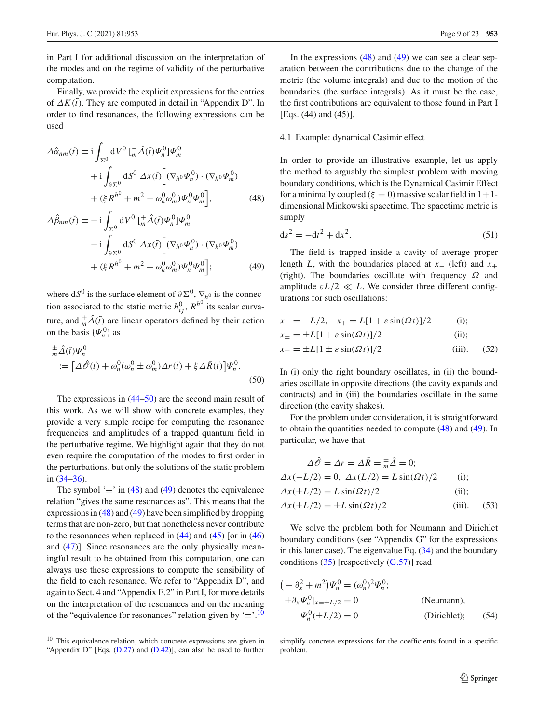in Part I for additional discussion on the interpretation of the modes and on the regime of validity of the perturbative computation.

Finally, we provide the explicit expressions for the entries of  $\Delta K(\tilde{t})$ . They are computed in detail in "Appendix D". In order to find resonances, the following expressions can be used

$$
\Delta \hat{\alpha}_{nm}(\tilde{t}) \equiv \mathrm{i} \int_{\Sigma^0} \mathrm{d}V^0 \, [\bar{m}\hat{\Delta}(\tilde{t}) \Psi_n^0] \Psi_m^0
$$

$$
+ \mathrm{i} \int_{\partial \Sigma^0} \mathrm{d}S^0 \, \Delta x(\tilde{t}) \Big[ (\nabla_h \circ \Psi_n^0) \cdot (\nabla_h \circ \Psi_m^0) + (\xi R^h^0 + m^2 - \omega_n^0 \omega_m^0) \Psi_n^0 \Psi_m^0 \Big], \tag{48}
$$

$$
\Delta \hat{\beta}_{nm}(\tilde{t}) \equiv -i \int_{\Sigma^0} dV^0 \left[ \frac{1}{m} \hat{\Delta}(\tilde{t}) \Psi_n^0 \right] \Psi_m^0
$$

$$
-i \int_{\partial \Sigma^0} dS^0 \, \Delta x(\tilde{t}) \Big[ (\nabla_h \Phi_n^0) \cdot (\nabla_h \Phi_m^0) + (\xi R^h^0 + m^2 + \omega_n^0 \omega_m^0) \Psi_n^0 \Psi_m^0 \Big]; \tag{49}
$$

where  $dS^0$  is the surface element of  $\partial \Sigma^0$ ,  $\nabla_{h^0}$  is the connection associated to the static metric  $h_{ij}^0$ ,  $R^{h^0}$  its scalar curvature, and  $\frac{\pm}{m}\Delta(\tilde{t})$  are linear operators defined by their action on the basis  $\{\Psi_n^0\}$  as

<span id="page-8-0"></span>
$$
\begin{aligned} &\frac{\pm}{m}\hat{\Delta}(\tilde{t})\Psi_n^0\\ &:=\big[\Delta\hat{\mathscr{O}}(\tilde{t})+\omega_n^0(\omega_n^0\pm\omega_m^0)\Delta r(\tilde{t})+\xi\Delta\bar{R}(\tilde{t})\big]\Psi_n^0. \end{aligned} \tag{50}
$$

The expressions in [\(44–](#page-7-2)[50\)](#page-8-0) are the second main result of this work. As we will show with concrete examples, they provide a very simple recipe for computing the resonance frequencies and amplitudes of a trapped quantum field in the perturbative regime. We highlight again that they do not even require the computation of the modes to first order in the perturbations, but only the solutions of the static problem in [\(34–](#page-6-5)[36\)](#page-6-3).

The symbol ' $\equiv$ ' in [\(48\)](#page-8-1) and [\(49\)](#page-8-2) denotes the equivalence relation "gives the same resonances as". This means that the expressions in  $(48)$  and  $(49)$  have been simplified by dropping terms that are non-zero, but that nonetheless never contribute to the resonances when replaced in  $(44)$  and  $(45)$  [or in  $(46)$ ] and [\(47\)](#page-7-6)]. Since resonances are the only physically meaningful result to be obtained from this computation, one can always use these expressions to compute the sensibility of the field to each resonance. We refer to "Appendix D", and again to Sect. 4 and "Appendix E.2" in Part I, for more details on the interpretation of the resonances and on the meaning of the "equivalence for resonances" relation given by  $\equiv$ .<sup>[10](#page-8-3)</sup>

In the expressions  $(48)$  and  $(49)$  we can see a clear separation between the contributions due to the change of the metric (the volume integrals) and due to the motion of the boundaries (the surface integrals). As it must be the case, the first contributions are equivalent to those found in Part I [Eqs. (44) and (45)].

#### <span id="page-8-5"></span>4.1 Example: dynamical Casimir effect

<span id="page-8-1"></span>In order to provide an illustrative example, let us apply the method to arguably the simplest problem with moving boundary conditions, which is the Dynamical Casimir Effect for a minimally coupled ( $\xi = 0$ ) massive scalar field in  $1+1$ dimensional Minkowski spacetime. The spacetime metric is simply

$$
ds^2 = -dt^2 + dx^2.
$$
 (51)

<span id="page-8-2"></span>The field is trapped inside a cavity of average proper length *L*, with the boundaries placed at  $x_-(\text{left})$  and  $x_+$ (right). The boundaries oscillate with frequency  $\Omega$  and amplitude  $\epsilon L/2 \ll L$ . We consider three different configurations for such oscillations:

$$
x_{-} = -L/2, \quad x_{+} = L[1 + \varepsilon \sin(\Omega t)]/2 \quad (i);
$$
  
\n
$$
x_{\pm} = \pm L[1 + \varepsilon \sin(\Omega t)]/2 \quad (ii);
$$

$$
x_{\pm} = \pm L[1 \pm \varepsilon \sin(\Omega t)]/2 \tag{52}
$$

In (i) only the right boundary oscillates, in (ii) the boundaries oscillate in opposite directions (the cavity expands and contracts) and in (iii) the boundaries oscillate in the same direction (the cavity shakes).

For the problem under consideration, it is straightforward to obtain the quantities needed to compute [\(48\)](#page-8-1) and [\(49\)](#page-8-2). In particular, we have that

<span id="page-8-4"></span>
$$
\Delta \hat{\mathcal{O}} = \Delta r = \Delta \bar{R} = \frac{+}{m} \hat{\Delta} = 0;
$$
  
\n
$$
\Delta x (-L/2) = 0, \ \Delta x (L/2) = L \sin(\Omega t) / 2
$$
 (i);  
\n
$$
\Delta x (\pm L/2) = L \sin(\Omega t) / 2
$$
 (ii);  
\n
$$
\Delta x (\pm L/2) = \pm L \sin(\Omega t) / 2
$$
 (iii). (53)

We solve the problem both for Neumann and Dirichlet boundary conditions (see "Appendix G" for the expressions in this latter case). The eigenvalue Eq.  $(34)$  and the boundary conditions  $(35)$  [respectively  $(G.57)$ ] read

$$
(-\partial_x^2 + m^2)\Psi_n^0 = (\omega_n^0)^2 \Psi_n^0;
$$
  
\n
$$
\pm \partial_x \Psi_n^0|_{x=\pm L/2} = 0
$$
 (Neumann),  
\n
$$
\Psi_n^0(\pm L/2) = 0
$$
 (Dirichlet); (54)

<span id="page-8-3"></span><sup>&</sup>lt;sup>10</sup> This equivalence relation, which concrete expressions are given in "Appendix D" [Eqs. [\(D.27\)](#page-15-0) and [\(D.42\)](#page-7-7)], can also be used to further

simplify concrete expressions for the coefficients found in a specific problem.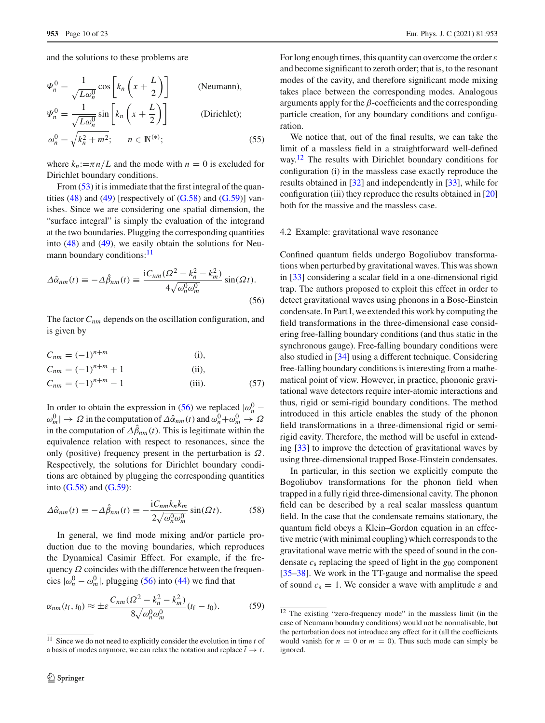and the solutions to these problems are

$$
\Psi_n^0 = \frac{1}{\sqrt{L\omega_n^0}} \cos \left[ k_n \left( x + \frac{L}{2} \right) \right]
$$
 (Neumann),  
\n
$$
\Psi_n^0 = \frac{1}{\sqrt{L\omega_n^0}} \sin \left[ k_n \left( x + \frac{L}{2} \right) \right]
$$
 (Dirichlet);  
\n
$$
\omega_n^0 = \sqrt{k_n^2 + m^2}; \qquad n \in \mathbb{N}^{(*)};
$$
 (55)

where  $k_n := \pi n/L$  and the mode with  $n = 0$  is excluded for Dirichlet boundary conditions.

From [\(53\)](#page-8-4) it is immediate that the first integral of the quantities  $(48)$  and  $(49)$  [respectively of  $(G.58)$  and  $(G.59)$ ] vanishes. Since we are considering one spatial dimension, the "surface integral" is simply the evaluation of the integrand at the two boundaries. Plugging the corresponding quantities into  $(48)$  and  $(49)$ , we easily obtain the solutions for Neumann boundary conditions:<sup>11</sup>

<span id="page-9-1"></span>
$$
\Delta \hat{\alpha}_{nm}(t) \equiv -\Delta \hat{\beta}_{nm}(t) \equiv \frac{iC_{nm}(\Omega^2 - k_n^2 - k_m^2)}{4\sqrt{\omega_n^0 \omega_m^0}} \sin(\Omega t).
$$
\n(56)

The factor  $C_{nm}$  depends on the oscillation configuration, and is given by

$$
C_{nm} = (-1)^{n+m}
$$
 (i),  
\n
$$
C_{nm} = (-1)^{n+m} + 1
$$
 (ii),  
\n
$$
C_{nm} = (-1)^{n+m} - 1
$$
 (iii). (57)

In order to obtain the expression in [\(56\)](#page-9-1) we replaced  $|\omega_n^0 \omega_m^0 \rightarrow \Omega$  in the computation of  $\Delta \hat{\alpha}_{nm}(t)$  and  $\omega_n^0 + \omega_m^0 \rightarrow \Omega$ in the computation of  $\Delta \beta_{nm}(t)$ . This is legitimate within the equivalence relation with respect to resonances, since the only (positive) frequency present in the perturbation is  $\Omega$ . Respectively, the solutions for Dirichlet boundary conditions are obtained by plugging the corresponding quantities into  $(G.58)$  and  $(G.59)$ :

<span id="page-9-3"></span>
$$
\Delta \hat{\alpha}_{nm}(t) \equiv -\Delta \hat{\beta}_{nm}(t) \equiv -\frac{iC_{nm}k_nk_m}{2\sqrt{\omega_n^0\omega_m^0}}\sin(\Omega t). \tag{58}
$$

In general, we find mode mixing and/or particle production due to the moving boundaries, which reproduces the Dynamical Casimir Effect. For example, if the frequency  $\Omega$  coincides with the difference between the frequencies  $|\omega_n^0 - \omega_m^0|$ , plugging [\(56\)](#page-9-1) into [\(44\)](#page-7-2) we find that

$$
\alpha_{nm}(t_{\rm f}, t_0) \approx \pm \varepsilon \frac{C_{nm}(\Omega^2 - k_n^2 - k_m^2)}{8\sqrt{\omega_n^0 \omega_m^0}}(t_{\rm f} - t_0).
$$
 (59)

For long enough times, this quantity can overcome the order  $\varepsilon$ and become significant to zeroth order; that is, to the resonant modes of the cavity, and therefore significant mode mixing takes place between the corresponding modes. Analogous arguments apply for the  $\beta$ -coefficients and the corresponding particle creation, for any boundary conditions and configuration.

We notice that, out of the final results, we can take the limit of a massless field in a straightforward well-defined way.[12](#page-9-2) The results with Dirichlet boundary conditions for configuration (i) in the massless case exactly reproduce the results obtained in [\[32\]](#page-22-12) and independently in [\[33\]](#page-22-13), while for configuration (iii) they reproduce the results obtained in [\[20\]](#page-22-4) both for the massive and the massless case.

#### <span id="page-9-4"></span>4.2 Example: gravitational wave resonance

Confined quantum fields undergo Bogoliubov transformations when perturbed by gravitational waves. This was shown in [\[33\]](#page-22-13) considering a scalar field in a one-dimensional rigid trap. The authors proposed to exploit this effect in order to detect gravitational waves using phonons in a Bose-Einstein condensate. In Part I, we extended this work by computing the field transformations in the three-dimensional case considering free-falling boundary conditions (and thus static in the synchronous gauge). Free-falling boundary conditions were also studied in [\[34](#page-22-14)] using a different technique. Considering free-falling boundary conditions is interesting from a mathematical point of view. However, in practice, phononic gravitational wave detectors require inter-atomic interactions and thus, rigid or semi-rigid boundary conditions. The method introduced in this article enables the study of the phonon field transformations in a three-dimensional rigid or semirigid cavity. Therefore, the method will be useful in extending [\[33](#page-22-13)] to improve the detection of gravitational waves by using three-dimensional trapped Bose-Einstein condensates.

In particular, in this section we explicitly compute the Bogoliubov transformations for the phonon field when trapped in a fully rigid three-dimensional cavity. The phonon field can be described by a real scalar massless quantum field. In the case that the condensate remains stationary, the quantum field obeys a Klein–Gordon equation in an effective metric (with minimal coupling) which corresponds to the gravitational wave metric with the speed of sound in the condensate *c*<sup>s</sup> replacing the speed of light in the *g*<sup>00</sup> component [\[35](#page-22-15)[–38](#page-22-16)]. We work in the TT-gauge and normalise the speed of sound  $c_s = 1$ . We consider a wave with amplitude  $\varepsilon$  and

<span id="page-9-0"></span><sup>11</sup> Since we do not need to explicitly consider the evolution in time *t* of a basis of modes anymore, we can relax the notation and replace  $\tilde{t} \to t$ .

<span id="page-9-2"></span><sup>12</sup> The existing "zero-frequency mode" in the massless limit (in the case of Neumann boundary conditions) would not be normalisable, but the perturbation does not introduce any effect for it (all the coefficients would vanish for  $n = 0$  or  $m = 0$ ). Thus such mode can simply be ignored.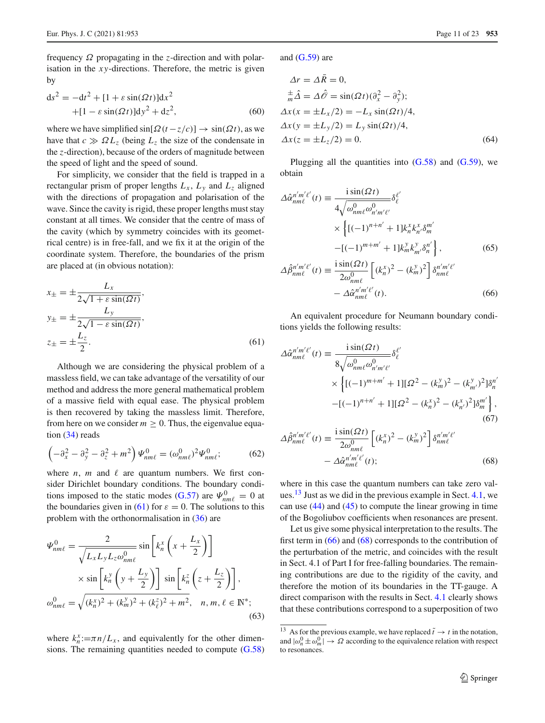frequency Ω propagating in the *z*-direction and with polarisation in the *x y*-directions. Therefore, the metric is given by

$$
ds^{2} = -dt^{2} + [1 + \varepsilon \sin(\Omega t)]dx^{2}
$$

$$
+ [1 - \varepsilon \sin(\Omega t)]dy^{2} + dz^{2}, \qquad (60)
$$

where we have simplified  $\sin[\Omega(t-z/c)] \rightarrow \sin(\Omega t)$ , as we have that  $c \gg \Omega L_z$  (being  $L_z$  the size of the condensate in the *z*-direction), because of the orders of magnitude between the speed of light and the speed of sound.

For simplicity, we consider that the field is trapped in a rectangular prism of proper lengths  $L_x$ ,  $L_y$  and  $L_z$  aligned with the directions of propagation and polarisation of the wave. Since the cavity is rigid, these proper lengths must stay constant at all times. We consider that the centre of mass of the cavity (which by symmetry coincides with its geometrical centre) is in free-fall, and we fix it at the origin of the coordinate system. Therefore, the boundaries of the prism are placed at (in obvious notation):

$$
x_{\pm} = \pm \frac{L_x}{2\sqrt{1 + \varepsilon \sin(\Omega t)}},
$$
  
\n
$$
y_{\pm} = \pm \frac{L_y}{2\sqrt{1 - \varepsilon \sin(\Omega t)}},
$$
  
\n
$$
z_{\pm} = \pm \frac{L_z}{2}.
$$
\n(61)

Although we are considering the physical problem of a massless field, we can take advantage of the versatility of our method and address the more general mathematical problem of a massive field with equal ease. The physical problem is then recovered by taking the massless limit. Therefore, from here on we consider  $m \geq 0$ . Thus, the eigenvalue equation [\(34\)](#page-6-5) reads

$$
\left(-\partial_x^2 - \partial_y^2 - \partial_z^2 + m^2\right)\Psi_{nm\ell}^0 = (\omega_{nm\ell}^0)^2\Psi_{nm\ell}^0; \tag{62}
$$

where  $n$ ,  $m$  and  $\ell$  are quantum numbers. We first consider Dirichlet boundary conditions. The boundary condi-tions imposed to the static modes [\(G.57\)](#page-19-0) are  $\Psi_{nm\ell}^0 = 0$  at the boundaries given in [\(61\)](#page-10-0) for  $\varepsilon = 0$ . The solutions to this problem with the orthonormalisation in [\(36\)](#page-6-3) are

$$
\Psi_{nm\ell}^{0} = \frac{2}{\sqrt{L_x L_y L_z \omega_{nm\ell}^{0}}} \sin\left[k_n^x \left(x + \frac{L_x}{2}\right)\right]
$$

$$
\times \sin\left[k_n^y \left(y + \frac{L_y}{2}\right)\right] \sin\left[k_n^z \left(z + \frac{L_z}{2}\right)\right],
$$

$$
\omega_{nm\ell}^{0} = \sqrt{(k_n^x)^2 + (k_m^y)^2 + (k_\ell^z)^2 + m^2}, \quad n, m, \ell \in \mathbb{N}^*;
$$
(63)

where  $k_n^x := \pi n / L_x$ , and equivalently for the other dimensions. The remaining quantities needed to compute [\(G.58\)](#page-19-1) and  $(G.59)$  are

$$
\Delta r = \Delta R = 0,
$$
  
\n
$$
{}_{m}^{\pm} \hat{\Delta} = \Delta \hat{\mathcal{O}} = \sin(\Omega t)(\partial_{x}^{2} - \partial_{y}^{2});
$$
  
\n
$$
\Delta x(x = \pm L_{x}/2) = -L_{x} \sin(\Omega t)/4,
$$
  
\n
$$
\Delta x(y = \pm L_{y}/2) = L_{y} \sin(\Omega t)/4,
$$
  
\n
$$
\Delta x(z = \pm L_{z}/2) = 0.
$$
\n(64)

Plugging all the quantities into  $(G.58)$  and  $(G.59)$ , we obtain

$$
\Delta \hat{\alpha}_{nm\ell}^{n'm'\ell'}(t) \equiv \frac{\mathrm{i} \sin(\Omega t)}{4\sqrt{\omega_{nm\ell}^{0}\omega_{n'm'\ell'}^{0}} \delta_{\ell}^{\ell'}
$$

$$
\times \left\{ [(-1)^{n+n'} + 1] k_{n}^{x} k_{n'}^{x} \delta_{m}^{m'} - [(-1)^{m+m'} + 1] k_{m}^{y} k_{m'}^{y} \delta_{n}^{n'} \right\},\tag{65}
$$

<span id="page-10-4"></span><span id="page-10-2"></span>
$$
\Delta \hat{\beta}_{nm\ell}^{n'm'\ell'}(t) \equiv \frac{\mathrm{i} \sin(\Omega t)}{2\omega_{nm\ell}^{0}} \left[ (k_n^x)^2 - (k_m^y)^2 \right] \delta_{nm\ell}^{n'm'\ell'} - \Delta \hat{\alpha}_{nm\ell}^{n'm'\ell'}(t). \tag{66}
$$

<span id="page-10-0"></span>An equivalent procedure for Neumann boundary conditions yields the following results:

$$
\Delta \hat{\alpha}_{nm\ell}^{n'm'\ell'}(t) \equiv \frac{\mathrm{i} \sin(\Omega t)}{8\sqrt{\omega_{nm\ell}^{0}\omega_{n'm'\ell'}^{0}}} \delta_{\ell}^{\ell'}
$$
  
 
$$
\times \left\{ [(-1)^{m+m'} + 1][\Omega^{2} - (k_{m}^{y})^{2} - (k_{m'}^{y})^{2}] \delta_{n}^{n'} - [(-1)^{n+n'} + 1][\Omega^{2} - (k_{n}^{x})^{2} - (k_{n'}^{x})^{2}] \delta_{m}^{m'} \right\}, \tag{67}
$$

<span id="page-10-3"></span>
$$
\Delta \hat{\beta}_{nm\ell}^{n'm'\ell'}(t) \equiv \frac{\mathrm{i}\sin(\Omega t)}{2\omega_{nm\ell}^{0}} \left[ (k_n^x)^2 - (k_m^y)^2 \right] \delta_{nm\ell}^{n'm'\ell'} - \Delta \hat{\alpha}_{nm\ell}^{n'm'\ell'}(t); \tag{68}
$$

where in this case the quantum numbers can take zero values. $13$  Just as we did in the previous example in Sect. [4.1,](#page-8-5) we can use [\(44\)](#page-7-2) and [\(45\)](#page-7-3) to compute the linear growing in time of the Bogoliubov coefficients when resonances are present.

Let us give some physical interpretation to the results. The first term in  $(66)$  and  $(68)$  corresponds to the contribution of the perturbation of the metric, and coincides with the result in Sect. 4.1 of Part I for free-falling boundaries. The remaining contributions are due to the rigidity of the cavity, and therefore the motion of its boundaries in the TT-gauge. A direct comparison with the results in Sect. [4.1](#page-8-5) clearly shows that these contributions correspond to a superposition of two

<span id="page-10-1"></span><sup>&</sup>lt;sup>13</sup> As for the previous example, we have replaced  $\tilde{t} \to t$  in the notation, and  $|\omega_n^0 \pm \omega_m^0| \to \Omega$  according to the equivalence relation with respect to resonances.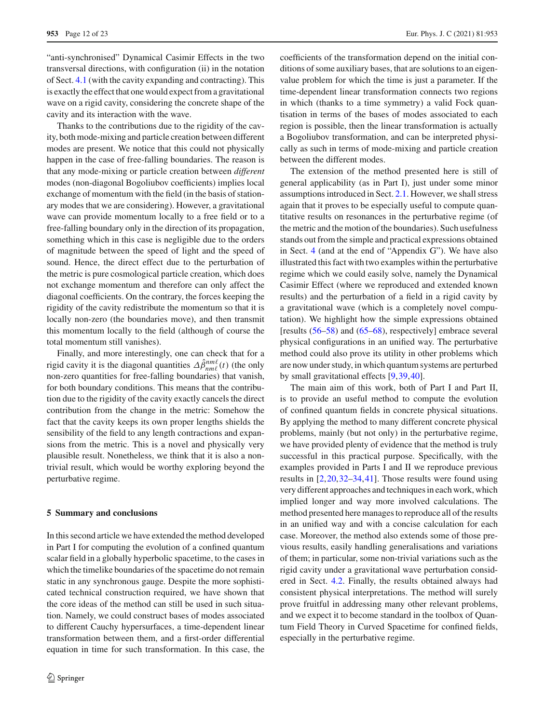**953** Page 12 of 23 Eur. Phys. J. C (2021) 81:953

"anti-synchronised" Dynamical Casimir Effects in the two transversal directions, with configuration (ii) in the notation of Sect. [4.1](#page-8-5) (with the cavity expanding and contracting). This is exactly the effect that one would expect from a gravitational wave on a rigid cavity, considering the concrete shape of the cavity and its interaction with the wave.

Thanks to the contributions due to the rigidity of the cavity, both mode-mixing and particle creation between different modes are present. We notice that this could not physically happen in the case of free-falling boundaries. The reason is that any mode-mixing or particle creation between *different* modes (non-diagonal Bogoliubov coefficients) implies local exchange of momentum with the field (in the basis of stationary modes that we are considering). However, a gravitational wave can provide momentum locally to a free field or to a free-falling boundary only in the direction of its propagation, something which in this case is negligible due to the orders of magnitude between the speed of light and the speed of sound. Hence, the direct effect due to the perturbation of the metric is pure cosmological particle creation, which does not exchange momentum and therefore can only affect the diagonal coefficients. On the contrary, the forces keeping the rigidity of the cavity redistribute the momentum so that it is locally non-zero (the boundaries move), and then transmit this momentum locally to the field (although of course the total momentum still vanishes).

Finally, and more interestingly, one can check that for a rigid cavity it is the diagonal quantities  $\Delta \hat{\beta}_{nm\ell}^{nm\ell}(t)$  (the only non-zero quantities for free-falling boundaries) that vanish, for both boundary conditions. This means that the contribution due to the rigidity of the cavity exactly cancels the direct contribution from the change in the metric: Somehow the fact that the cavity keeps its own proper lengths shields the sensibility of the field to any length contractions and expansions from the metric. This is a novel and physically very plausible result. Nonetheless, we think that it is also a nontrivial result, which would be worthy exploring beyond the perturbative regime.

#### <span id="page-11-0"></span>**5 Summary and conclusions**

In this second article we have extended the method developed in Part I for computing the evolution of a confined quantum scalar field in a globally hyperbolic spacetime, to the cases in which the timelike boundaries of the spacetime do not remain static in any synchronous gauge. Despite the more sophisticated technical construction required, we have shown that the core ideas of the method can still be used in such situation. Namely, we could construct bases of modes associated to different Cauchy hypersurfaces, a time-dependent linear transformation between them, and a first-order differential equation in time for such transformation. In this case, the coefficients of the transformation depend on the initial conditions of some auxiliary bases, that are solutions to an eigenvalue problem for which the time is just a parameter. If the time-dependent linear transformation connects two regions in which (thanks to a time symmetry) a valid Fock quantisation in terms of the bases of modes associated to each region is possible, then the linear transformation is actually a Bogoliubov transformation, and can be interpreted physically as such in terms of mode-mixing and particle creation between the different modes.

The extension of the method presented here is still of general applicability (as in Part I), just under some minor assumptions introduced in Sect. [2.1.](#page-1-2) However, we shall stress again that it proves to be especially useful to compute quantitative results on resonances in the perturbative regime (of the metric and the motion of the boundaries). Such usefulness stands out from the simple and practical expressions obtained in Sect. [4](#page-6-0) (and at the end of "Appendix G"). We have also illustrated this fact with two examples within the perturbative regime which we could easily solve, namely the Dynamical Casimir Effect (where we reproduced and extended known results) and the perturbation of a field in a rigid cavity by a gravitational wave (which is a completely novel computation). We highlight how the simple expressions obtained [results [\(56](#page-9-1)[–58\)](#page-9-3) and [\(65–](#page-10-4)[68\)](#page-10-3), respectively] embrace several physical configurations in an unified way. The perturbative method could also prove its utility in other problems which are now under study, in which quantum systems are perturbed by small gravitational effects [\[9](#page-21-6),[39,](#page-22-17)[40\]](#page-22-18).

The main aim of this work, both of Part I and Part II, is to provide an useful method to compute the evolution of confined quantum fields in concrete physical situations. By applying the method to many different concrete physical problems, mainly (but not only) in the perturbative regime, we have provided plenty of evidence that the method is truly successful in this practical purpose. Specifically, with the examples provided in Parts I and II we reproduce previous results in  $[2,20,32-34,41]$  $[2,20,32-34,41]$  $[2,20,32-34,41]$  $[2,20,32-34,41]$  $[2,20,32-34,41]$  $[2,20,32-34,41]$  $[2,20,32-34,41]$ . Those results were found using very different approaches and techniques in each work, which implied longer and way more involved calculations. The method presented here manages to reproduce all of the results in an unified way and with a concise calculation for each case. Moreover, the method also extends some of those previous results, easily handling generalisations and variations of them; in particular, some non-trivial variations such as the rigid cavity under a gravitational wave perturbation considered in Sect. [4.2.](#page-9-4) Finally, the results obtained always had consistent physical interpretations. The method will surely prove fruitful in addressing many other relevant problems, and we expect it to become standard in the toolbox of Quantum Field Theory in Curved Spacetime for confined fields, especially in the perturbative regime.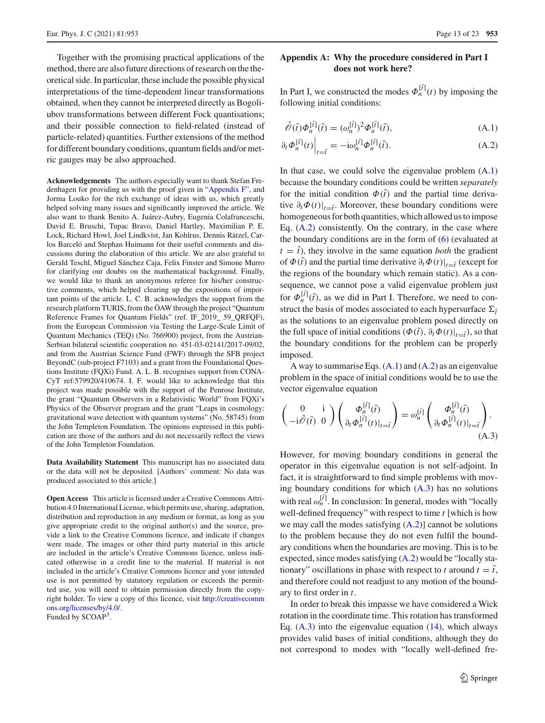Together with the promising practical applications of the method, there are also future directions of research on the theoretical side. In particular, these include the possible physical interpretations of the time-dependent linear transformations obtained, when they cannot be interpreted directly as Bogoliubov transformations between different Fock quantisations; and their possible connection to field-related (instead of particle-related) quantities. Further extensions of the method for different boundary conditions, quantum fields and/or metric gauges may be also approached.

**Acknowledgements** The authors especially want to thank Stefan Fredenhagen for providing us with the proof given in ["Appendix F"](#page-17-0), and Jorma Louko for the rich exchange of ideas with us, which greatly helped solving many issues and significantly improved the article. We also want to thank Benito A. Juárez-Aubry, Eugenia Colafranceschi, David E. Bruschi, Tupac Bravo, Daniel Hartley, Maximilian P. E. Lock, Richard Howl, Joel Lindkvist, Jan Kohlrus, Dennis Rätzel, Carlos Barceló and Stephan Huimann for their useful comments and discussions during the elaboration of this article. We are also grateful to Gerald Teschl, Miguel Sánchez Caja, Felix Finster and Simone Murro for clarifying our doubts on the mathematical background. Finally, we would like to thank an anonymous referee for his/her constructive comments, which helped clearing up the expositions of important points of the article. L. C. B. acknowledges the support from the research platform TURIS, from the ÖAW through the project "Quantum Reference Frames for Quantum Fields" (ref. IF\_2019\_ 59\_QRFQF), from the European Commission via Testing the Large-Scale Limit of Quantum Mechanics (TEQ) (No. 766900) project, from the Austrian-Serbian bilateral scientific cooperation no. 451-03-02141/2017-09/02, and from the Austrian Science Fund (FWF) through the SFB project BeyondC (sub-project F7103) and a grant from the Foundational Questions Institute (FQXi) Fund. A. L. B. recognises support from CONA-CyT ref:579920/410674. I. F. would like to acknowledge that this project was made possible with the support of the Penrose Institute, the grant "Quantum Observers in a Relativistic World" from FQXi's Physics of the Observer program and the grant "Leaps in cosmology: gravitational wave detection with quantum systems" (No. 58745) from the John Templeton Foundation. The opinions expressed in this publication are those of the authors and do not necessarily reflect the views of the John Templeton Foundation.

**Data Availability Statement** This manuscript has no associated data or the data will not be deposited. [Authors' comment: No data was produced associated to this article.]

**Open Access** This article is licensed under a Creative Commons Attribution 4.0 International License, which permits use, sharing, adaptation, distribution and reproduction in any medium or format, as long as you give appropriate credit to the original author(s) and the source, provide a link to the Creative Commons licence, and indicate if changes were made. The images or other third party material in this article are included in the article's Creative Commons licence, unless indicated otherwise in a credit line to the material. If material is not included in the article's Creative Commons licence and your intended use is not permitted by statutory regulation or exceeds the permitted use, you will need to obtain permission directly from the copyright holder. To view a copy of this licence, visit [http://creativecomm](http://creativecommons.org/licenses/by/4.0/) [ons.org/licenses/by/4.0/.](http://creativecommons.org/licenses/by/4.0/)

Funded by SCOAP3.

# **Appendix A: Why the procedure considered in Part I does not work here?**

In Part I, we constructed the modes  $\Phi_n^{[\tilde{t}]}(t)$  by imposing the following initial conditions:

<span id="page-12-1"></span><span id="page-12-0"></span>
$$
\hat{\mathcal{O}}(\tilde{t})\Phi_n^{[\tilde{t}]}(\tilde{t}) = (\omega_n^{[\tilde{t}]})^2 \Phi_n^{[\tilde{t}]}(\tilde{t}),
$$
\n(A.1)

$$
\partial_t \Phi_n^{[\tilde{t}]}(t) \Big|_{t=\tilde{t}} = -\mathrm{i} \omega_n^{[\tilde{t}]} \Phi_n^{[\tilde{t}]}(\tilde{t}). \tag{A.2}
$$

In that case, we could solve the eigenvalue problem  $(A.1)$ because the boundary conditions could be written *separately* for the initial condition  $\Phi(\tilde{t})$  and the partial time derivative  $\partial_t \Phi(t)|_{t=\tilde{t}}$ . Moreover, these boundary conditions were homogeneous for both quantities, which allowed us to impose Eq.  $(A.2)$  consistently. On the contrary, in the case where the boundary conditions are in the form of [\(6\)](#page-2-5) (evaluated at  $t = \tilde{t}$ , they involve in the same equation *both* the gradient of  $\Phi(\tilde{t})$  and the partial time derivative  $\partial_t \Phi(t)|_{t=\tilde{t}}$  (except for the regions of the boundary which remain static). As a consequence, we cannot pose a valid eigenvalue problem just for  $\Phi_n^{[\tilde{t}]}(\tilde{t})$ , as we did in Part I. Therefore, we need to construct the basis of modes associated to each hypersurface  $\Sigma_i$ as the solutions to an eigenvalue problem posed directly on the full space of initial conditions  $(\Phi(\tilde{t}), \partial_t \Phi(t)|_{t=\tilde{t}})$ , so that the boundary conditions for the problem can be properly imposed.

A way to summarise Eqs.  $(A.1)$  and  $(A.2)$  as an eigenvalue problem in the space of initial conditions would be to use the vector eigenvalue equation

<span id="page-12-2"></span>
$$
\begin{pmatrix} 0 & \mathbf{i} \\ -\mathbf{i}\hat{\mathscr{O}}(\tilde{t}) & 0 \end{pmatrix} \begin{pmatrix} \boldsymbol{\Phi}_n^{[\tilde{t}]}(\tilde{t}) \\ \partial_t \boldsymbol{\Phi}_n^{[\tilde{t}]}(t) \end{pmatrix} = \omega_n^{[\tilde{t}]} \begin{pmatrix} \boldsymbol{\Phi}_n^{[\tilde{t}]}(\tilde{t}) \\ \partial_t \boldsymbol{\Phi}_n^{[\tilde{t}]}(t) \end{pmatrix}_{t=\tilde{t}} . \tag{A.3}
$$

However, for moving boundary conditions in general the operator in this eigenvalue equation is not self-adjoint. In fact, it is straightforward to find simple problems with moving boundary conditions for which  $(A.3)$  has no solutions with real  $\omega_n^{[\tilde{t}]}$ . In conclusion: In general, modes with "locally" well-defined frequency" with respect to time *t* [which is how we may call the modes satisfying  $(A.2)$ ] cannot be solutions to the problem because they do not even fulfil the boundary conditions when the boundaries are moving. This is to be expected, since modes satisfying [\(A.2\)](#page-12-1) would be "locally stationary" oscillations in phase with respect to *t* around  $t = \tilde{t}$ , and therefore could not readjust to any motion of the boundary to first order in *t*.

In order to break this impasse we have considered a Wick rotation in the coordinate time. This rotation has transformed Eq.  $(A.3)$  into the eigenvalue equation  $(14)$ , which always provides valid bases of initial conditions, although they do not correspond to modes with "locally well-defined fre-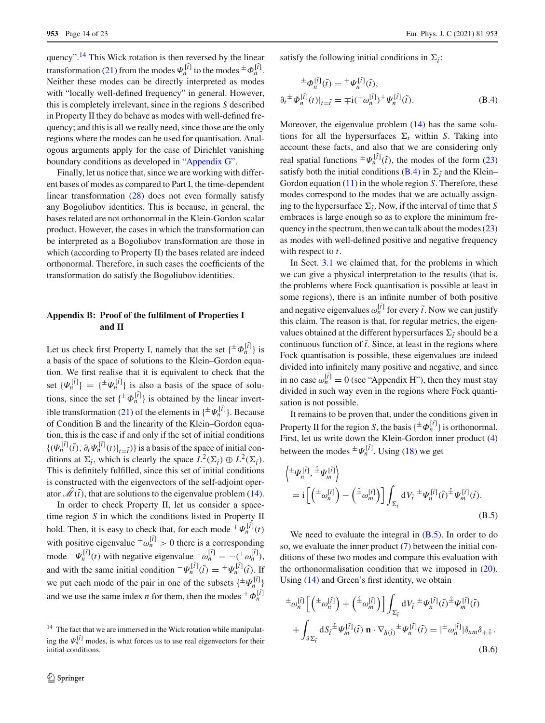quency".<sup>[14](#page-13-0)</sup> This Wick rotation is then reversed by the linear transformation [\(21\)](#page-5-7) from the modes  $\Psi_n^{[\tilde{t}]}$  to the modes  $\pm \Phi_n^{[\tilde{t}]}$ . Neither these modes can be directly interpreted as modes with "locally well-defined frequency" in general. However, this is completely irrelevant, since in the regions *S* described in Property II they do behave as modes with well-defined frequency; and this is all we really need, since those are the only regions where the modes can be used for quantisation. Analogous arguments apply for the case of Dirichlet vanishing boundary conditions as developed in ["Appendix G"](#page-18-0).

Finally, let us notice that, since we are working with different bases of modes as compared to Part I, the time-dependent linear transformation [\(28\)](#page-5-2) does not even formally satisfy any Bogoliubov identities. This is because, in general, the bases related are not orthonormal in the Klein-Gordon scalar product. However, the cases in which the transformation can be interpreted as a Bogoliubov transformation are those in which (according to Property II) the bases related are indeed orthonormal. Therefore, in such cases the coefficients of the transformation do satisfy the Bogoliubov identities.

# **Appendix B: Proof of the fulfilment of Properties I and II**

Let us check first Property I, namely that the set  $\{\pm \Phi_n^{[\tilde{t}]} \}$  is a basis of the space of solutions to the Klein–Gordon equation. We first realise that it is equivalent to check that the set  $\{\Psi_n^{[\tilde{t}]} \} = \{\pm \Psi_n^{[\tilde{t}]} \}$  is also a basis of the space of solutions, since the set  $\{\pm \Phi_n^{[\tilde{t}]} \}$  is obtained by the linear invert-ible transformation [\(21\)](#page-5-7) of the elements in  $\{\pm \Psi_n^{[\hat{i}]} \}$ . Because of Condition B and the linearity of the Klein–Gordon equation, this is the case if and only if the set of initial conditions  $\{(\Psi_n^{[\tilde{t}]}(\tilde{t}), \partial_t \Psi_n^{[\tilde{t}]}(t)|_{t=\tilde{t}})\}\)$  is a basis of the space of initial conditions at  $\Sigma_{\tilde{t}}$ , which is clearly the space  $L^2(\Sigma_{\tilde{t}}) \oplus L^2(\Sigma_{\tilde{t}})$ . This is definitely fulfilled, since this set of initial conditions is constructed with the eigenvectors of the self-adjoint operator  $\mathcal{M}(\tilde{t})$ , that are solutions to the eigenvalue problem [\(14\)](#page-4-2).

In order to check Property II, let us consider a spacetime region *S* in which the conditions listed in Property II hold. Then, it is easy to check that, for each mode  ${}^+\Psi_n^{[\tilde{i}]}(t)$ with positive eigenvalue  $\pm \omega_n^{[\tilde{t}]} > 0$  there is a corresponding mode  $-\Psi_n^{[\tilde{t}]}(t)$  with negative eigenvalue  $-\omega_n^{[\tilde{t}]} = -(\pm \omega_n^{[\tilde{t}]}),$ and with the same initial condition  $-\Psi_n^{[\tilde{t}]}(\tilde{t}) = +\Psi_n^{[\tilde{t}]}(\tilde{t})$ . If we put each mode of the pair in one of the subsets  $\{\pm \Psi_n^{[\tilde{i}]} \}$ and we use the same index *n* for them, then the modes  $\pm \Phi_n^{[\tilde{t}]}$ 

satisfy the following initial conditions in  $\Sigma_{\tilde{i}}$ :

$$
\pm \phi_n^{[\tilde{t}]}(\tilde{t}) = \pm \Psi_n^{[\tilde{t}]}(\tilde{t}), \n\partial_t \pm \phi_n^{[\tilde{t}]}(t)|_{t=\tilde{t}} = \mp i (\pm \omega_n^{[\tilde{t}]} )^+ \Psi_n^{[\tilde{t}]}(\tilde{t}).
$$
\n(B.4)

Moreover, the eigenvalue problem  $(14)$  has the same solutions for all the hypersurfaces  $\Sigma_t$  within *S*. Taking into account these facts, and also that we are considering only real spatial functions  $\pm \Psi_n^{[\hat{i}]}(\tilde{t})$ , the modes of the form [\(23\)](#page-5-4) satisfy both the initial conditions [\(B.4\)](#page-2-6) in  $\Sigma_{\tilde{t}}$  and the Klein– Gordon equation [\(11\)](#page-3-5) in the whole region *S*. Therefore, these modes correspond to the modes that we are actually assigning to the hypersurface  $\Sigma_{\tilde{t}}$ . Now, if the interval of time that *S* embraces is large enough so as to explore the minimum frequency in the spectrum, then we can talk about the modes [\(23\)](#page-5-4) as modes with well-defined positive and negative frequency with respect to *t*.

In Sect. [3.1](#page-3-7) we claimed that, for the problems in which we can give a physical interpretation to the results (that is, the problems where Fock quantisation is possible at least in some regions), there is an infinite number of both positive and negative eigenvalues  $\omega_n^{[\tilde{t}]}$  for every  $\tilde{t}$ . Now we can justify this claim. The reason is that, for regular metrics, the eigenvalues obtained at the different hypersurfaces  $\Sigma_{\tilde{t}}$  should be a continuous function of  $\tilde{t}$ . Since, at least in the regions where Fock quantisation is possible, these eigenvalues are indeed divided into infinitely many positive and negative, and since in no case  $\omega_n^{[\tilde{t}]} = 0$  (see "Appendix H"), then they must stay divided in such way even in the regions where Fock quantisation is not possible.

It remains to be proven that, under the conditions given in Property II for the region *S*, the basis { $\pm \Phi_n^{[\tilde{I}]}$ } is orthonormal. First, let us write down the Klein-Gordon inner product [\(4\)](#page-2-6) between the modes  $\pm \Psi_n^{[\tilde{i}]}$ . Using [\(18\)](#page-4-7) we get

$$
\begin{aligned} &\left\langle \pm \Psi_n^{[\tilde{t}]} , \pm \Psi_m^{[\tilde{t}]} \right\rangle \\ &= \mathrm{i} \left[ \left( \pm \omega_n^{[\tilde{t}]} \right) - \left( \pm \omega_m^{[\tilde{t}]} \right) \right] \int_{\Sigma_{\tilde{t}}} \mathrm{d} V_{\tilde{t}} \pm \Psi_n^{[\tilde{t}]} (\tilde{t}) \pm \Psi_m^{[\tilde{t}]} (\tilde{t}). \end{aligned} \tag{B.5}
$$

We need to evaluate the integral in  $(B.5)$ . In order to do so, we evaluate the inner product [\(7\)](#page-3-3) between the initial conditions of these two modes and compare this evaluation with the orthonormalisation condition that we imposed in [\(20\)](#page-5-8). Using [\(14\)](#page-4-2) and Green's first identity, we obtain

$$
\begin{split} &\pm \omega_n^{[\tilde{t}]} \left[ \left( \pm \omega_n^{[\tilde{t}]} \right) + \left( \pm \omega_m^{[\tilde{t}]} \right) \right] \int_{\Sigma_{\tilde{t}}} dV_{\tilde{t}} \pm \psi_n^{[\tilde{t}]} (\tilde{t}) \pm \psi_m^{[\tilde{t}]} (\tilde{t}) \\ &\quad + \int_{\partial \Sigma_{\tilde{t}}} dS_{\tilde{t}} \pm \psi_m^{[\tilde{t}]} (\tilde{t}) \mathbf{n} \cdot \nabla_{h(\tilde{t})} \pm \psi_n^{[\tilde{t}]} (\tilde{t}) = \pm \omega_n^{[\tilde{t}]} |\delta_{nm} \delta_{\pm \hat{\pm}}. \end{split} \tag{B.6}
$$

<span id="page-13-0"></span><sup>&</sup>lt;sup>14</sup> The fact that we are immersed in the Wick rotation while manipulating the  $\Psi_n^{[\tilde{t}]}$  modes, is what forces us to use real eigenvectors for their initial conditions.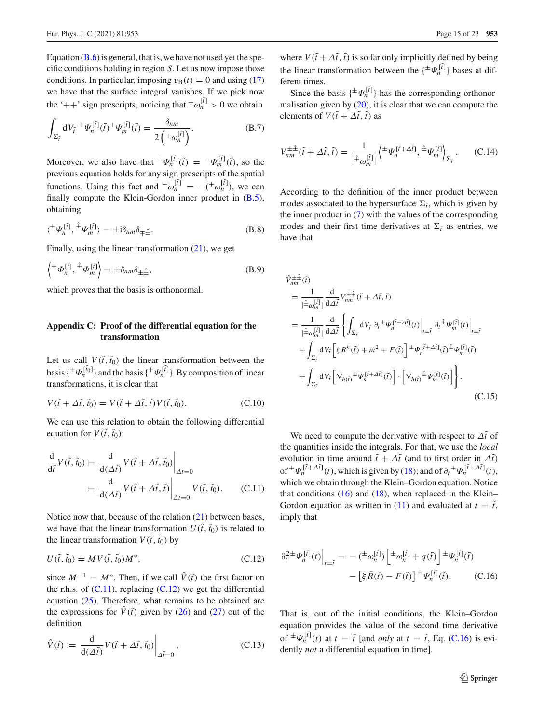Equation  $(B.6)$  is general, that is, we have not used yet the specific conditions holding in region *S*. Let us now impose those conditions. In particular, imposing  $v_B(t) = 0$  and using [\(17\)](#page-4-4) we have that the surface integral vanishes. If we pick now the '++' sign prescripts, noticing that  $\sqrt[n]{\omega_n^{[i]}} > 0$  we obtain

$$
\int_{\Sigma_{\tilde{t}}} dV_{\tilde{t}} + \Psi_n^{[\tilde{t}]}(\tilde{t}) + \Psi_m^{[\tilde{t}]}(\tilde{t}) = \frac{\delta_{nm}}{2\left(+\omega_n^{[\tilde{t}]}\right)}.
$$
\n(B.7)

Moreover, we also have that  ${}^+\Psi_n^{[\tilde{t}]}(\tilde{t}) = {}^-\Psi_m^{[\tilde{t}]}(\tilde{t})$ , so the previous equation holds for any sign prescripts of the spatial functions. Using this fact and  $\omega_n^{[\tilde{t}]} = -(\omega_n^{[\tilde{t}]}),$  we can finally compute the Klein-Gordon inner product in [\(B.5\)](#page-2-4), obtaining

$$
\langle {}^{\pm} \Psi_n^{[\tilde{t}]} , {}^{\pm} \Psi_m^{[\tilde{t}]} \rangle = \pm i \delta_{nm} \delta_{\mp \hat{\pm}}.
$$
 (B.8)

Finally, using the linear transformation  $(21)$ , we get

$$
\left\langle \pm \phi_n^{[\tilde{t}]}, \pm \phi_m^{[\tilde{t}]} \right\rangle = \pm \delta_{nm} \delta_{\pm \pm},\tag{B.9}
$$

which proves that the basis is orthonormal.

# **Appendix C: Proof of the differential equation for the transformation**

Let us call  $V(\tilde{t}, \tilde{t}_0)$  the linear transformation between the basis { $\pm \Psi_n^{[\tilde{i}_0]}$ } and the basis { $\pm \Psi_n^{[\tilde{i}]}$ }. By composition of linear transformations, it is clear that

$$
V(\tilde{t} + \Delta \tilde{t}, \tilde{t}_0) = V(\tilde{t} + \Delta \tilde{t}, \tilde{t}) V(\tilde{t}, \tilde{t}_0).
$$
 (C.10)

We can use this relation to obtain the following differential equation for  $V(\tilde{t}, \tilde{t}_0)$ :

$$
\frac{d}{d\tilde{t}}V(\tilde{t},\tilde{t}_0) = \frac{d}{d(\Delta\tilde{t})}V(\tilde{t} + \Delta\tilde{t},\tilde{t}_0)\Big|_{\Delta\tilde{t}=0}
$$
\n
$$
= \frac{d}{d(\Delta\tilde{t})}V(\tilde{t} + \Delta\tilde{t},\tilde{t})\Big|_{\Delta\tilde{t}=0}V(\tilde{t},\tilde{t}_0). \qquad (C.11)
$$

Notice now that, because of the relation [\(21\)](#page-5-7) between bases, we have that the linear transformation  $U(\tilde{t}, \tilde{t}_0)$  is related to the linear transformation  $V(\tilde{t}, \tilde{t}_0)$  by

<span id="page-14-1"></span>
$$
U(\tilde{t}, \tilde{t}_0) = MV(\tilde{t}, \tilde{t}_0)M^*,\tag{C.12}
$$

since  $M^{-1} = M^*$ . Then, if we call  $\hat{V}(\tilde{t})$  the first factor on the r.h.s. of  $(C.11)$ , replacing  $(C.12)$  we get the differential equation [\(25\)](#page-5-1). Therefore, what remains to be obtained are the expressions for  $V(\tilde{t})$  given by [\(26\)](#page-5-6) and [\(27\)](#page-5-3) out of the definition

$$
\hat{V}(\tilde{t}) := \frac{\mathrm{d}}{\mathrm{d}(\Delta \tilde{t})} V(\tilde{t} + \Delta \tilde{t}, \tilde{t}_0) \bigg|_{\Delta \tilde{t} = 0}, \tag{C.13}
$$

where  $V(\tilde{t} + \Delta \tilde{t}, \tilde{t})$  is so far only implicitly defined by being the linear transformation between the  $\{\pm \Psi_n^{[\tilde{i}]} \}$  bases at different times.

Since the basis  $\{\pm \Psi_n^{[\tilde{t}]} \}$  has the corresponding orthonormalisation given by  $(20)$ , it is clear that we can compute the elements of  $V(\tilde{t} + \Delta \tilde{t}, \tilde{t})$  as

$$
V_{nm}^{\pm\hat{\pm}}(\tilde{t} + \Delta\tilde{t}, \tilde{t}) = \frac{1}{|\hat{\pm}\omega_m^{[\tilde{t}]}|} \left\langle \pm \Psi_n^{[\tilde{t} + \Delta\tilde{t}]}, \pm \Psi_m^{[\tilde{t}]} \right\rangle_{\Sigma_{\tilde{t}}}.
$$
 (C.14)

According to the definition of the inner product between modes associated to the hypersurface  $\Sigma_{\tilde{t}}$ , which is given by the inner product in [\(7\)](#page-3-3) with the values of the corresponding modes and their first time derivatives at  $\Sigma_{\tilde{t}}$  as entries, we have that

$$
\hat{V}_{nm}^{\pm\pm}(\tilde{t})
$$
\n
$$
= \frac{1}{|\triangleq \omega_m^{[\tilde{t}]}} \frac{d}{d\Delta \tilde{t}} V_{nm}^{\pm\pm}(\tilde{t} + \Delta \tilde{t}, \tilde{t})
$$
\n
$$
= \frac{1}{|\triangleq \omega_m^{[\tilde{t}]}} \frac{d}{d\Delta \tilde{t}} \left\{ \int_{\Sigma_{\tilde{t}}} dV_{\tilde{t}} \ \partial_t^{\pm} \Psi_n^{[\tilde{t} + \Delta \tilde{t}]}(t) \Big|_{t=\tilde{t}} \ \partial_t^{\pm} \Psi_m^{[\tilde{t}]}(t) \Big|_{t=\tilde{t}}
$$
\n
$$
+ \int_{\Sigma_{\tilde{t}}} dV_{\tilde{t}} \left[ \xi R^n(\tilde{t}) + m^2 + F(\tilde{t}) \right]^{\pm} \Psi_n^{[\tilde{t} + \Delta \tilde{t}]}(\tilde{t})^{\pm} \Psi_m^{[\tilde{t}]}(\tilde{t})
$$
\n
$$
+ \int_{\Sigma_{\tilde{t}}} dV_{\tilde{t}} \left[ \nabla_{h(\tilde{t})}^{\pm} \Psi_n^{[\tilde{t} + \Delta \tilde{t}]}(\tilde{t}) \right] \cdot \left[ \nabla_{h(\tilde{t})}^{\pm} \Psi_m^{[\tilde{t}]}(\tilde{t}) \right] \right\}.
$$
\n(C.15)

<span id="page-14-0"></span>We need to compute the derivative with respect to  $\Delta t$  of the quantities inside the integrals. For that, we use the *local* evolution in time around  $\tilde{t} + \Delta \tilde{t}$  (and to first order in  $\Delta \tilde{t}$ ) of  $\pm \Psi_n^{[\tilde{t} + \Delta \tilde{t}]}(t)$ , which is given by [\(18\)](#page-4-7); and of  $\partial_t \pm \Psi_n^{[\tilde{t} + \Delta \tilde{t}]}(t)$ , which we obtain through the Klein–Gordon equation. Notice that conditions  $(16)$  and  $(18)$ , when replaced in the Klein– Gordon equation as written in [\(11\)](#page-3-5) and evaluated at  $t = \tilde{t}$ , imply that

$$
\partial_t^{2 \pm} \Psi_n^{[\tilde{t}]}(t) \Big|_{t=\tilde{t}} = -\left( \pm \omega_n^{[\tilde{t}]} \right) \left[ \pm \omega_n^{[\tilde{t}]} + q(\tilde{t}) \right] \pm \Psi_n^{[\tilde{t}]}(\tilde{t}) - \left[ \xi \bar{R}(\tilde{t}) - F(\tilde{t}) \right] \pm \Psi_n^{[\tilde{t}]}(\tilde{t}). \tag{C.16}
$$

That is, out of the initial conditions, the Klein–Gordon equation provides the value of the second time derivative of  $\pm \Psi_n^{[\tilde{t}]}(t)$  at  $t = \tilde{t}$  [and *only* at  $t = \tilde{t}$ , Eq. [\(C.16\)](#page-4-5) is evidently *not* a differential equation in time].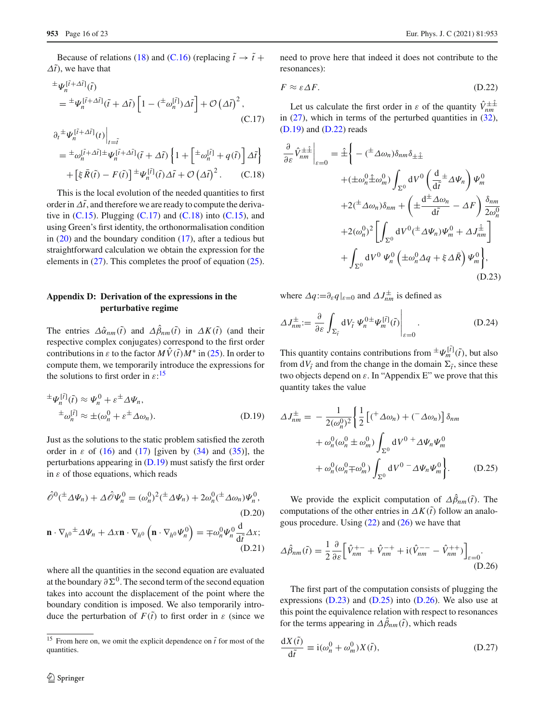Because of relations [\(18\)](#page-4-7) and [\(C.16\)](#page-4-5) (replacing  $\tilde{t} \to \tilde{t}$  +  $\Delta t$ ), we have that

$$
\begin{split}\n& \pm \Psi_n^{[\tilde{i} + \Delta \tilde{i}]}(\tilde{t}) \\
& = \pm \Psi_n^{[\tilde{i} + \Delta \tilde{i}]}(\tilde{t} + \Delta \tilde{t}) \left[ 1 - \left( \pm \omega_n^{[\tilde{i}]} \right) \Delta \tilde{t} \right] + \mathcal{O} \left( \Delta \tilde{t} \right)^2, \\
&\quad (C.17) \\
\partial_t \pm \Psi_n^{[\tilde{i} + \Delta \tilde{i}]}(t) \Big|_{t = \tilde{i}} \\
& = \pm \omega_n^{[\tilde{i} + \Delta \tilde{i}] \pm \Psi_n^{[\tilde{i} + \Delta \tilde{i}]}(\tilde{t} + \Delta \tilde{t}) \left\{ 1 + \left[ \pm \omega_n^{[\tilde{i}]} + q(\tilde{t}) \right] \Delta \tilde{t} \right\} \\
& + \left[ \xi \bar{R}(\tilde{t}) - F(\tilde{t}) \right] \pm \Psi_n^{[\tilde{i}]}(\tilde{t}) \Delta \tilde{t} + \mathcal{O} \left( \Delta \tilde{t} \right)^2. \n\end{split}
$$

This is the local evolution of the needed quantities to first order in  $\Delta t$ , and therefore we are ready to compute the derivative in  $(C.15)$ . Plugging  $(C.17)$  and  $(C.18)$  into  $(C.15)$ , and using Green's first identity, the orthonormalisation condition in  $(20)$  and the boundary condition  $(17)$ , after a tedious but straightforward calculation we obtain the expression for the elements in  $(27)$ . This completes the proof of equation  $(25)$ .

## **Appendix D: Derivation of the expressions in the perturbative regime**

The entries  $\Delta \hat{\alpha}_{nm}(\tilde{t})$  and  $\Delta \beta_{nm}(\tilde{t})$  in  $\Delta K(\tilde{t})$  (and their respective complex conjugates) correspond to the first order contributions in  $\varepsilon$  to the factor  $MV(\tilde{t})M^*$  in [\(25\)](#page-5-1). In order to compute them, we temporarily introduce the expressions for the solutions to first order in  $\varepsilon$ :<sup>[15](#page-15-1)</sup>

$$
\pm \Psi_n^{[\tilde{t}]}(\tilde{t}) \approx \Psi_n^0 + \varepsilon^{\pm} \Delta \Psi_n,
$$
  
\n
$$
\pm \omega_n^{[\tilde{t}]} \approx \pm (\omega_n^0 + \varepsilon^{\pm} \Delta \omega_n).
$$
 (D.19)

Just as the solutions to the static problem satisfied the zeroth order in  $\varepsilon$  of [\(16\)](#page-4-5) and [\(17\)](#page-4-4) [given by [\(34\)](#page-6-5) and [\(35\)](#page-6-6)], the perturbations appearing in  $(D.19)$  must satisfy the first order in  $\varepsilon$  of those equations, which reads

$$
\hat{\mathcal{O}}^{0}(\pm \Delta \Psi_{n}) + \Delta \hat{\mathcal{O}} \Psi_{n}^{0} = (\omega_{n}^{0})^{2} (\pm \Delta \Psi_{n}) + 2\omega_{n}^{0} (\pm \Delta \omega_{n}) \Psi_{n}^{0},
$$
\n(D.20)\n
$$
\mathbf{n} \cdot \nabla_{h^{0}} \pm \Delta \Psi_{n} + \Delta x \mathbf{n} \cdot \nabla_{h^{0}} \left( \mathbf{n} \cdot \nabla_{h^{0}} \Psi_{n}^{0} \right) = \mp \omega_{n}^{0} \Psi_{n}^{0} \frac{d}{d\tilde{t}} \Delta x;
$$

<span id="page-15-8"></span>(D.21)

where all the quantities in the second equation are evaluated at the boundary  $\partial \Sigma^0$ . The second term of the second equation takes into account the displacement of the point where the boundary condition is imposed. We also temporarily introduce the perturbation of  $F(\tilde{t})$  to first order in  $\varepsilon$  (since we

need to prove here that indeed it does not contribute to the resonances):

<span id="page-15-3"></span>
$$
F \approx \varepsilon \Delta F. \tag{D.22}
$$

Let us calculate the first order in  $\varepsilon$  of the quantity  $\hat{V}_{nm}^{\pm\pm}$ in  $(27)$ , which in terms of the perturbed quantities in  $(32)$ , [\(D.19\)](#page-15-2) and [\(D.22\)](#page-15-3) reads

<span id="page-15-4"></span>
$$
\frac{\partial}{\partial \varepsilon} \hat{V}_{nm}^{\pm\pm} \Big|_{\varepsilon=0} = \hat{\pm} \Bigg\{ - (\stackrel{\pm}{-\Delta} \omega_n) \delta_{nm} \delta_{\pm\pm} \n+ (\pm \omega_n^0 \hat{\pm} \omega_m^0) \int_{\Sigma^0} dV^0 \left( \frac{d}{d\tilde{t}} \pm \Delta \Psi_n \right) \Psi_m^0 \n+ 2 (\stackrel{\pm}{-\Delta} \omega_n) \delta_{nm} + \left( \pm \frac{d^{\pm} \Delta \omega_n}{d\tilde{t}} - \Delta F \right) \frac{\delta_{nm}}{2\omega_n^0} \n+ 2 (\omega_n^0)^2 \Bigg[ \int_{\Sigma^0} dV^0 (\stackrel{\pm}{-\Delta} \Psi_n) \Psi_m^0 + \Delta J_{nm}^{\hat{\pm}} \Bigg] \n+ \int_{\Sigma^0} dV^0 \Psi_n^0 \left( \pm \omega_n^0 \Delta q + \xi \Delta \bar{R} \right) \Psi_m^0 \Bigg\},
$$
\n(D.23)

where  $\Delta q := \partial_{\varepsilon} q \big|_{\varepsilon=0}$  and  $\Delta J_{nm}^{\pm}$  is defined as

$$
\Delta J_{nm}^{\pm} := \frac{\partial}{\partial \varepsilon} \int_{\Sigma_{\tilde{t}}} dV_{\tilde{t}} \, \Psi_n^{0 \pm} \Psi_m^{[\tilde{t}]}(\tilde{t}) \Big|_{\varepsilon=0}.
$$
 (D.24)

This quantity contains contributions from  $\pm \Psi_m^{[\tilde{t}]}(\tilde{t})$ , but also from  $dV_{\tilde{t}}$  and from the change in the domain  $\Sigma_{\tilde{t}}$ , since these two objects depend on  $\varepsilon$ . In "Appendix E" we prove that this quantity takes the value

<span id="page-15-5"></span><span id="page-15-2"></span>
$$
\Delta J_{nm}^{\pm} = -\frac{1}{2(\omega_n^0)^2} \left\{ \frac{1}{2} \left[ \left( \frac{1}{2} \Delta \omega_n \right) + \left( \frac{1}{2} \Delta \omega_n \right) \right] \delta_{nm} \right.\n+ \omega_n^0(\omega_n^0 \pm \omega_m^0) \int_{\Sigma^0} dV^0 \pm \Delta \Psi_n \Psi_m^0 \n+ \omega_n^0(\omega_n^0 \mp \omega_m^0) \int_{\Sigma^0} dV^0 \pm \Delta \Psi_n \Psi_m^0 \right\}. \tag{D.25}
$$

<span id="page-15-7"></span>We provide the explicit computation of  $\Delta \hat{\beta}_{nm}(\tilde{t})$ . The computations of the other entries in  $\Delta K(\tilde{t})$  follow an analogous procedure. Using  $(22)$  and  $(26)$  we have that

<span id="page-15-6"></span>
$$
\Delta \hat{\beta}_{nm}(\tilde{t}) = \frac{1}{2} \frac{\partial}{\partial \varepsilon} \Big[ \hat{V}_{nm}^{+-} + \hat{V}_{nm}^{-+} + i(\hat{V}_{nm}^{--} - \hat{V}_{nm}^{++}) \Big]_{\varepsilon=0}.
$$
\n(D.26)

The first part of the computation consists of plugging the expressions  $(D.23)$  and  $(D.25)$  into  $(D.26)$ . We also use at this point the equivalence relation with respect to resonances for the terms appearing in  $\Delta \beta_{nm}(\tilde{t})$ , which reads

<span id="page-15-0"></span>
$$
\frac{dX(\tilde{t})}{d\tilde{t}} \equiv i(\omega_n^0 + \omega_m^0)X(\tilde{t}),\tag{D.27}
$$

<span id="page-15-1"></span><sup>&</sup>lt;sup>15</sup> From here on, we omit the explicit dependence on  $\tilde{t}$  for most of the quantities.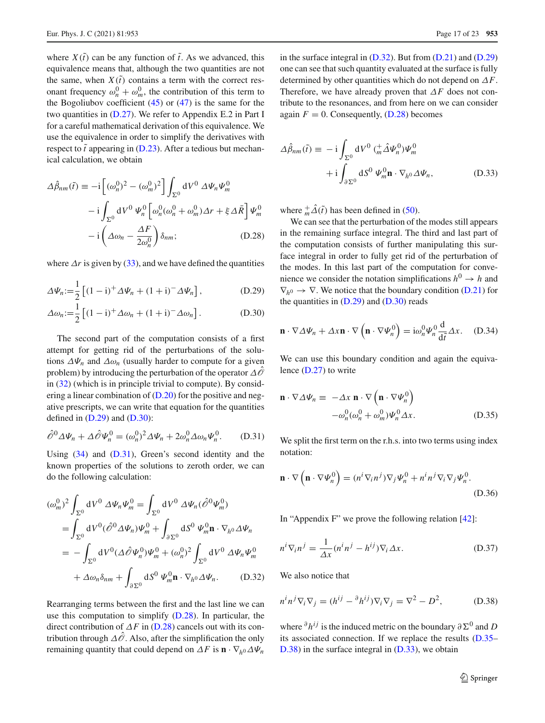where  $X(\tilde{t})$  can be any function of  $\tilde{t}$ . As we advanced, this equivalence means that, although the two quantities are not the same, when  $X(t)$  contains a term with the correct resonant frequency  $\omega_n^0 + \omega_m^0$ , the contribution of this term to the Bogoliubov coefficient  $(45)$  or  $(47)$  is the same for the two quantities in [\(D.27\)](#page-15-0). We refer to Appendix E.2 in Part I for a careful mathematical derivation of this equivalence. We use the equivalence in order to simplify the derivatives with respect to  $\tilde{t}$  appearing in [\(D.23\)](#page-15-4). After a tedious but mechanical calculation, we obtain

$$
\Delta \hat{\beta}_{nm}(\tilde{t}) \equiv -i \left[ (\omega_n^0)^2 - (\omega_m^0)^2 \right] \int_{\Sigma^0} dV^0 \, \Delta \Psi_n \Psi_m^0
$$

$$
-i \int_{\Sigma^0} dV^0 \, \Psi_n^0 \left[ \omega_n^0 (\omega_n^0 + \omega_m^0) \Delta r + \xi \Delta \bar{R} \right] \Psi_m^0
$$

$$
-i \left( \Delta \omega_n - \frac{\Delta F}{2 \omega_n^0} \right) \delta_{nm};
$$
(D.28)

where  $\Delta r$  is given by [\(33\)](#page-6-7), and we have defined the quantities

$$
\Delta \Psi_n := \frac{1}{2} \left[ (1 - \mathbf{i})^+ \Delta \Psi_n + (1 + \mathbf{i})^- \Delta \Psi_n \right], \tag{D.29}
$$

$$
\Delta \omega_n := \frac{1}{2} \left[ (1 - i)^+ \Delta \omega_n + (1 + i)^- \Delta \omega_n \right].
$$
 (D.30)

The second part of the computation consists of a first attempt for getting rid of the perturbations of the solutions  $\Delta \Psi_n$  and  $\Delta \omega_n$  (usually harder to compute for a given problem) by introducing the perturbation of the operator Δ*O*ˆ in [\(32\)](#page-6-2) (which is in principle trivial to compute). By considering a linear combination of [\(D.20\)](#page-15-7) for the positive and negative prescripts, we can write that equation for the quantities defined in  $(D.29)$  and  $(D.30)$ :

$$
\hat{\mathscr{O}}^0 \Delta \Psi_n + \Delta \hat{\mathscr{O}} \Psi_n^0 = (\omega_n^0)^2 \Delta \Psi_n + 2\omega_n^0 \Delta \omega_n \Psi_n^0. \tag{D.31}
$$

Using [\(34\)](#page-6-5) and [\(D.31\)](#page-6-9), Green's second identity and the known properties of the solutions to zeroth order, we can do the following calculation:

$$
(\omega_m^0)^2 \int_{\Sigma^0} dV^0 \,\Delta \Psi_n \Psi_m^0 = \int_{\Sigma^0} dV^0 \,\Delta \Psi_n (\hat{\mathcal{O}}^0 \Psi_m^0)
$$
  
= 
$$
\int_{\Sigma^0} dV^0 (\hat{\mathcal{O}}^0 \,\Delta \Psi_n) \Psi_m^0 + \int_{\partial \Sigma^0} dS^0 \,\Psi_m^0 \mathbf{n} \cdot \nabla_{h^0} \,\Delta \Psi_n
$$
  
= 
$$
- \int_{\Sigma^0} dV^0 (\Delta \hat{\mathcal{O}} \Psi_n^0) \Psi_m^0 + (\omega_n^0)^2 \int_{\Sigma^0} dV^0 \,\Delta \Psi_n \Psi_m^0
$$
  
+ 
$$
\Delta \omega_n \delta_{nm} + \int_{\partial \Sigma^0} dS^0 \,\Psi_m^0 \mathbf{n} \cdot \nabla_{h^0} \,\Delta \Psi_n.
$$
 (D.32)

Rearranging terms between the first and the last line we can use this computation to simplify [\(D.28\)](#page-16-1). In particular, the direct contribution of  $\Delta F$  in [\(D.28\)](#page-16-1) cancels out with its contribution through  $\Delta\hat{\mathcal{O}}$ . Also, after the simplification the only remaining quantity that could depend on  $\Delta F$  is  $\mathbf{n} \cdot \nabla_h \Delta \Psi_n$ 

in the surface integral in  $(D.32)$ . But from  $(D.21)$  and  $(D.29)$ one can see that such quantity evaluated at the surface is fully determined by other quantities which do not depend on Δ*F*. Therefore, we have already proven that Δ*F* does not contribute to the resonances, and from here on we can consider again  $F = 0$ . Consequently,  $(D.28)$  becomes

$$
\Delta \hat{\beta}_{nm}(\tilde{t}) = -i \int_{\Sigma^0} dV^0 \, (\frac{+}{m} \hat{\Delta} \Psi_n^0) \Psi_m^0
$$

$$
+ i \int_{\partial \Sigma^0} dS^0 \, \Psi_m^0 \mathbf{n} \cdot \nabla_h^0 \Delta \Psi_n, \tag{D.33}
$$

where  $^+_m\Delta(\tilde{t})$  has been defined in [\(50\)](#page-8-0).

<span id="page-16-1"></span><span id="page-16-0"></span>We can see that the perturbation of the modes still appears in the remaining surface integral. The third and last part of the computation consists of further manipulating this surface integral in order to fully get rid of the perturbation of the modes. In this last part of the computation for convenience we consider the notation simplifications  $h^0 \rightarrow h$  and  $\nabla_{h0} \rightarrow \nabla$ . We notice that the boundary condition [\(D.21\)](#page-15-8) for the quantities in  $(D.29)$  and  $(D.30)$  reads

$$
\mathbf{n} \cdot \nabla \Delta \Psi_n + \Delta x \mathbf{n} \cdot \nabla \left( \mathbf{n} \cdot \nabla \Psi_n^0 \right) = i \omega_n^0 \Psi_n^0 \frac{d}{d\tilde{t}} \Delta x. \quad (D.34)
$$

We can use this boundary condition and again the equivalence [\(D.27\)](#page-15-0) to write

$$
\mathbf{n} \cdot \nabla \Delta \Psi_n \equiv -\Delta x \, \mathbf{n} \cdot \nabla \left( \mathbf{n} \cdot \nabla \Psi_n^0 \right) \n- \omega_n^0 (\omega_n^0 + \omega_m^0) \Psi_n^0 \Delta x.
$$
\n(D.35)

We split the first term on the r.h.s. into two terms using index notation:

$$
\mathbf{n} \cdot \nabla \left( \mathbf{n} \cdot \nabla \Psi_n^0 \right) = (n^i \nabla_i n^j) \nabla_j \Psi_n^0 + n^i n^j \nabla_i \nabla_j \Psi_n^0.
$$
\n(D.36)

In "Appendix F" we prove the following relation [\[42\]](#page-22-20):

$$
n^{i} \nabla_{i} n^{j} = \frac{1}{\Delta x} (n^{i} n^{j} - h^{ij}) \nabla_{i} \Delta x.
$$
 (D.37)

We also notice that

$$
n^i n^j \nabla_i \nabla_j = (h^{ij} - {}^{\partial} h^{ij}) \nabla_i \nabla_j = \nabla^2 - D^2,
$$
 (D.38)

where  $\partial h^{ij}$  is the induced metric on the boundary  $\partial \Sigma^0$  and *D* its associated connection. If we replace the results [\(D.35–](#page-6-6) [D.38\)](#page-6-4) in the surface integral in  $(D.33)$ , we obtain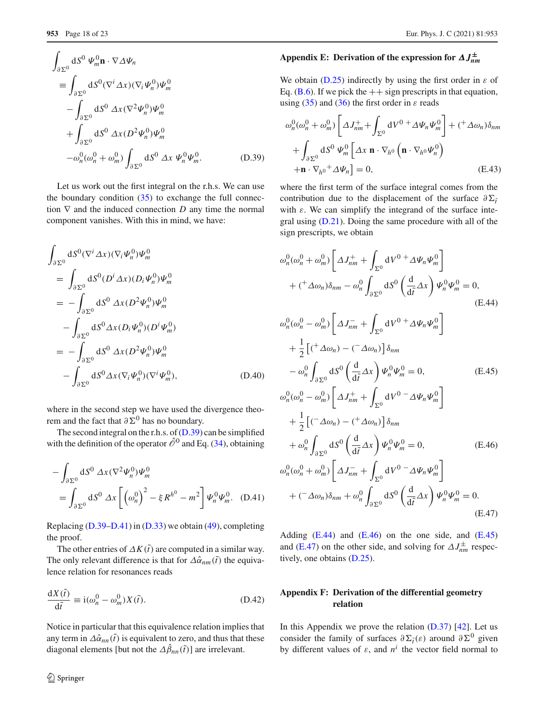$$
\int_{\partial \Sigma^0} dS^0 \, \Psi_m^0 \mathbf{n} \cdot \nabla \Delta \Psi_n
$$
\n
$$
\equiv \int_{\partial \Sigma^0} dS^0 (\nabla^i \Delta x) (\nabla_i \Psi_n^0) \Psi_m^0
$$
\n
$$
- \int_{\partial \Sigma^0} dS^0 \, \Delta x (\nabla^2 \Psi_n^0) \Psi_m^0
$$
\n
$$
+ \int_{\partial \Sigma^0} dS^0 \, \Delta x (D^2 \Psi_n^0) \Psi_m^0
$$
\n
$$
- \omega_n^0 (\omega_n^0 + \omega_m^0) \int_{\partial \Sigma^0} dS^0 \, \Delta x \, \Psi_n^0 \Psi_m^0. \tag{D.39}
$$

Let us work out the first integral on the r.h.s. We can use the boundary condition  $(35)$  to exchange the full connection ∇ and the induced connection *D* any time the normal component vanishes. With this in mind, we have:

$$
\int_{\partial \Sigma^0} dS^0 (\nabla^i \Delta x) (\nabla_i \Psi_n^0) \Psi_m^0
$$
\n
$$
= \int_{\partial \Sigma^0} dS^0 (D^i \Delta x) (D_i \Psi_n^0) \Psi_m^0
$$
\n
$$
= -\int_{\partial \Sigma^0} dS^0 \Delta x (D^2 \Psi_n^0) \Psi_m^0
$$
\n
$$
- \int_{\partial \Sigma^0} dS^0 \Delta x (D_i \Psi_n^0) (D^i \Psi_m^0)
$$
\n
$$
= -\int_{\partial \Sigma^0} dS^0 \Delta x (D^2 \Psi_n^0) \Psi_m^0
$$
\n
$$
- \int_{\partial \Sigma^0} dS^0 \Delta x (\nabla_i \Psi_n^0) (\nabla^i \Psi_m^0), \qquad (D.40)
$$

where in the second step we have used the divergence theorem and the fact that  $\partial \Sigma^0$  has no boundary.

The second integral on the r.h.s. of  $(D.39)$  can be simplified with the definition of the operator  $\hat{\mathcal{O}}^0$  and Eq. [\(34\)](#page-6-5), obtaining

$$
-\int_{\partial\Sigma^0} \mathrm{d}S^0 \,\Delta x (\nabla^2 \Psi_n^0) \Psi_m^0
$$
  
= 
$$
\int_{\partial\Sigma^0} \mathrm{d}S^0 \,\Delta x \left[ \left( \omega_n^0 \right)^2 - \xi R^{h^0} - m^2 \right] \Psi_n^0 \Psi_m^0. \quad (D.41)
$$

Replacing [\(D.39](#page-7-8)[–D.41\)](#page-7-9) in [\(D.33\)](#page-6-7) we obtain [\(49\)](#page-8-2), completing the proof.

The other entries of  $\Delta K(\tilde{t})$  are computed in a similar way. The only relevant difference is that for  $\Delta \hat{\alpha}_{nm}(\tilde{t})$  the equivalence relation for resonances reads

$$
\frac{\mathrm{d}X(\tilde{t})}{\mathrm{d}\tilde{t}} \equiv \mathrm{i}(\omega_n^0 - \omega_m^0) X(\tilde{t}).\tag{D.42}
$$

Notice in particular that this equivalence relation implies that any term in  $\Delta \hat{\alpha}_{nn}(\tilde{t})$  is equivalent to zero, and thus that these diagonal elements [but not the  $\Delta \beta_{nn}(\tilde{t})$ ] are irrelevant.

# <sup>2</sup> Springer

# **Appendix E: Derivation of the expression for** *ΔJ***±** *nm*

We obtain  $(D.25)$  indirectly by using the first order in  $\varepsilon$  of Eq. [\(B.6\)](#page-2-5). If we pick the  $++$  sign prescripts in that equation, using [\(35\)](#page-6-6) and [\(36\)](#page-6-3) the first order in  $\varepsilon$  reads

$$
\omega_n^0(\omega_n^0 + \omega_m^0) \left[ \Delta J_{nm}^+ + \int_{\Sigma^0} dV^0 + \Delta \Psi_n \Psi_m^0 \right] + (\Delta \omega_n) \delta_{nm}
$$
  
+ 
$$
\int_{\partial \Sigma^0} dS^0 \Psi_m^0 \left[ \Delta x \mathbf{n} \cdot \nabla_{h^0} \left( \mathbf{n} \cdot \nabla_{h^0} \Psi_n^0 \right) + \mathbf{n} \cdot \nabla_{h^0} + \Delta \Psi_n \right] = 0, \qquad (E.43)
$$

where the first term of the surface integral comes from the contribution due to the displacement of the surface  $\partial \Sigma_i$ with  $\varepsilon$ . We can simplify the integrand of the surface integral using [\(D.21\)](#page-15-8). Doing the same procedure with all of the sign prescripts, we obtain

<span id="page-17-3"></span><span id="page-17-1"></span>
$$
\omega_n^0(\omega_n^0 + \omega_m^0) \left[ \Delta J_{nm}^+ + \int_{\Sigma^0} dV^0 + \Delta \Psi_n \Psi_m^0 \right] \n+ \left( ^+ \Delta \omega_n \right) \delta_{nm} - \omega_n^0 \int_{\partial \Sigma^0} dS^0 \left( \frac{d}{d\tilde{t}} \Delta x \right) \Psi_n^0 \Psi_m^0 = 0, \n\omega_n^0(\omega_n^0 - \omega_m^0) \left[ \Delta J_{nm}^- + \int_{\Sigma^0} dV^0 + \Delta \Psi_n \Psi_m^0 \right] \n+ \frac{1}{2} \left[ \left( ^+ \Delta \omega_n \right) - \left( ^- \Delta \omega_n \right) \right] \delta_{nm} \n- \omega_n^0 \int_{\partial \Sigma^0} dS^0 \left( \frac{d}{d\tilde{t}} \Delta x \right) \Psi_n^0 \Psi_m^0 = 0, \n\omega_n^0(\omega_n^0 - \omega_m^0) \left[ \Delta J_{nm}^+ + \int_{\Sigma^0} dV^0 - \Delta \Psi_n \Psi_m^0 \right] \n+ \frac{1}{2} \left[ \left( ^- \Delta \omega_n \right) - \left( ^+ \Delta \omega_n \right) \right] \delta_{nm} \n+ \omega_n^0 \int_{\partial \Sigma^0} dS^0 \left( \frac{d}{d\tilde{t}} \Delta x \right) \Psi_n^0 \Psi_m^0 = 0, \n\omega_n^0(\omega_n^0 + \omega_m^0) \left[ \Delta J_{nm}^- + \int_{\Sigma^0} dV^0 - \Delta \Psi_n \Psi_m^0 \right] \n+ \left( ^- \Delta \omega_n \right) \delta_{nm} + \omega_n^0 \int_{\partial \Sigma^0} dS^0 \left( \frac{d}{d\tilde{t}} \Delta x \right) \Psi_n^0 \Psi_m^0 = 0.
$$
\n(E.46)

<span id="page-17-4"></span><span id="page-17-2"></span>Adding  $(E.44)$  and  $(E.46)$  on the one side, and  $(E.45)$ and [\(E.47\)](#page-17-4) on the other side, and solving for  $\Delta J_{nm}^{\pm}$  respectively, one obtains [\(D.25\)](#page-15-5).

# <span id="page-17-0"></span>**Appendix F: Derivation of the differential geometry relation**

In this Appendix we prove the relation  $(D.37)$  [\[42\]](#page-22-20). Let us consider the family of surfaces  $\partial \Sigma_{\tilde{t}}(\varepsilon)$  around  $\partial \Sigma^0$  given by different values of  $\varepsilon$ , and  $n^i$  the vector field normal to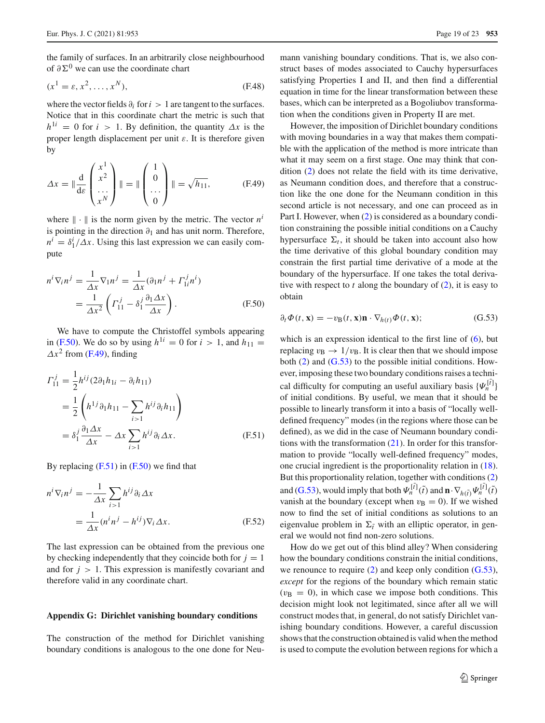the family of surfaces. In an arbitrarily close neighbourhood of  $\partial \Sigma^0$  we can use the coordinate chart

$$
(x1 = \varepsilon, x2, \dots, xN),
$$
 (F.48)

where the vector fields  $\partial_i$  for  $i > 1$  are tangent to the surfaces. Notice that in this coordinate chart the metric is such that  $h^{1i} = 0$  for  $i > 1$ . By definition, the quantity  $\Delta x$  is the proper length displacement per unit  $\varepsilon$ . It is therefore given by

<span id="page-18-2"></span>
$$
\Delta x = \|\frac{d}{ds} \begin{pmatrix} x^1 \\ x^2 \\ \cdots \\ x^N \end{pmatrix} \| = \|\begin{pmatrix} 1 \\ 0 \\ \cdots \\ 0 \end{pmatrix} \| = \sqrt{h_{11}}, \quad (F.49)
$$

where  $\|\cdot\|$  is the norm given by the metric. The vector  $n^i$ is pointing in the direction  $\partial_1$  and has unit norm. Therefore,  $n^i = \delta_1^i / \Delta x$ . Using this last expression we can easily compute

$$
n^{i} \nabla_{i} n^{j} = \frac{1}{\Delta x} \nabla_{1} n^{j} = \frac{1}{\Delta x} (\partial_{1} n^{j} + \Gamma_{1i}^{j} n^{i})
$$

$$
= \frac{1}{\Delta x^{2}} \left( \Gamma_{11}^{j} - \delta_{1}^{j} \frac{\partial_{1} \Delta x}{\Delta x} \right).
$$
(F.50)

We have to compute the Christoffel symbols appearing in [\(F.50\)](#page-18-1). We do so by using  $h^{1i} = 0$  for  $i > 1$ , and  $h_{11} =$  $\Delta x^2$  from [\(F.49\)](#page-18-2), finding

$$
\Gamma_{11}^{j} = \frac{1}{2} h^{ij} (2 \partial_1 h_{1i} - \partial_i h_{11})
$$
  
=  $\frac{1}{2} \left( h^{1j} \partial_1 h_{11} - \sum_{i>1} h^{ij} \partial_i h_{11} \right)$   
=  $\delta_1^{j} \frac{\partial_1 \Delta x}{\Delta x} - \Delta x \sum_{i>1} h^{ij} \partial_i \Delta x.$  (F.51)

By replacing  $(F.51)$  in  $(F.50)$  we find that

$$
n^{i} \nabla_{i} n^{j} = -\frac{1}{\Delta x} \sum_{i>1} h^{ij} \partial_{i} \Delta x
$$

$$
= \frac{1}{\Delta x} (n^{i} n^{j} - h^{ij}) \nabla_{i} \Delta x.
$$
(F.52)

The last expression can be obtained from the previous one by checking independently that they coincide both for  $j = 1$ and for  $j > 1$ . This expression is manifestly covariant and therefore valid in any coordinate chart.

## <span id="page-18-0"></span>**Appendix G: Dirichlet vanishing boundary conditions**

The construction of the method for Dirichlet vanishing boundary conditions is analogous to the one done for Neu-

mann vanishing boundary conditions. That is, we also construct bases of modes associated to Cauchy hypersurfaces satisfying Properties I and II, and then find a differential equation in time for the linear transformation between these bases, which can be interpreted as a Bogoliubov transformation when the conditions given in Property II are met.

However, the imposition of Dirichlet boundary conditions with moving boundaries in a way that makes them compatible with the application of the method is more intricate than what it may seem on a first stage. One may think that condition [\(2\)](#page-2-0) does not relate the field with its time derivative, as Neumann condition does, and therefore that a construction like the one done for the Neumann condition in this second article is not necessary, and one can proceed as in Part I. However, when [\(2\)](#page-2-0) is considered as a boundary condition constraining the possible initial conditions on a Cauchy hypersurface  $\Sigma_t$ , it should be taken into account also how the time derivative of this global boundary condition may constrain the first partial time derivative of a mode at the boundary of the hypersurface. If one takes the total derivative with respect to  $t$  along the boundary of  $(2)$ , it is easy to obtain

<span id="page-18-4"></span><span id="page-18-1"></span>
$$
\partial_t \Phi(t, \mathbf{x}) = -v_\mathbf{B}(t, \mathbf{x}) \mathbf{n} \cdot \nabla_{h(t)} \Phi(t, \mathbf{x}); \tag{G.53}
$$

<span id="page-18-3"></span>which is an expression identical to the first line of  $(6)$ , but replacing  $v_{\rm B} \rightarrow 1/v_{\rm B}$ . It is clear then that we should impose both  $(2)$  and  $(G.53)$  to the possible initial conditions. However, imposing these two boundary conditions raises a technical difficulty for computing an useful auxiliary basis  $\{\Psi_n^{[\tilde{i}]} \}$ of initial conditions. By useful, we mean that it should be possible to linearly transform it into a basis of "locally welldefined frequency" modes (in the regions where those can be defined), as we did in the case of Neumann boundary conditions with the transformation  $(21)$ . In order for this transformation to provide "locally well-defined frequency" modes, one crucial ingredient is the proportionality relation in [\(18\)](#page-4-7). But this proportionality relation, together with conditions [\(2\)](#page-2-0) and [\(G.53\)](#page-18-4), would imply that both  $\Psi_n^{[\tilde{t}]}(\tilde{t})$  and  $\mathbf{n} \cdot \nabla_{h(\tilde{t})} \Psi_n^{[\tilde{t}]}(\tilde{t})$ vanish at the boundary (except when  $v_B = 0$ ). If we wished now to find the set of initial conditions as solutions to an eigenvalue problem in  $\Sigma_{\tilde{t}}$  with an elliptic operator, in general we would not find non-zero solutions.

How do we get out of this blind alley? When considering how the boundary conditions constrain the initial conditions, we renounce to require [\(2\)](#page-2-0) and keep only condition [\(G.53\)](#page-18-4), *except* for the regions of the boundary which remain static  $(v<sub>B</sub> = 0)$ , in which case we impose both conditions. This decision might look not legitimated, since after all we will construct modes that, in general, do not satisfy Dirichlet vanishing boundary conditions. However, a careful discussion shows that the construction obtained is valid when the method is used to compute the evolution between regions for which a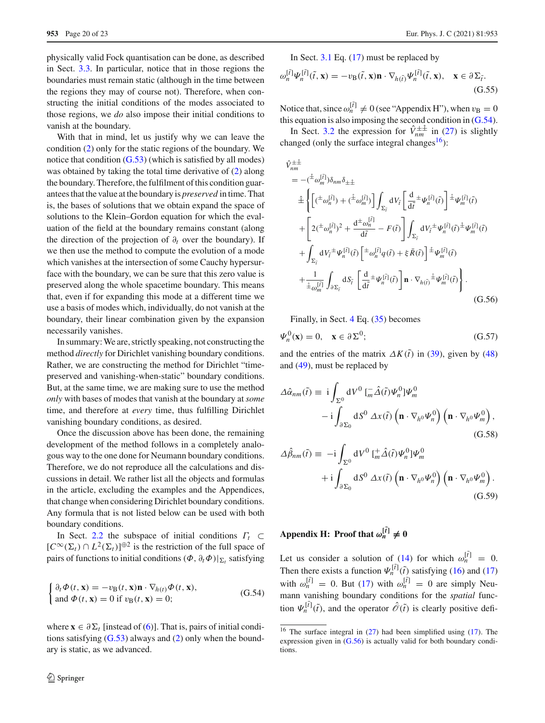physically valid Fock quantisation can be done, as described in Sect. [3.3.](#page-6-11) In particular, notice that in those regions the boundaries must remain static (although in the time between the regions they may of course not). Therefore, when constructing the initial conditions of the modes associated to those regions, we *do* also impose their initial conditions to vanish at the boundary.

With that in mind, let us justify why we can leave the condition [\(2\)](#page-2-0) only for the static regions of the boundary. We notice that condition  $(G.53)$  (which is satisfied by all modes) was obtained by taking the total time derivative of [\(2\)](#page-2-0) along the boundary. Therefore, the fulfilment of this condition guarantees that the value at the boundary is *preserved* in time. That is, the bases of solutions that we obtain expand the space of solutions to the Klein–Gordon equation for which the evaluation of the field at the boundary remains constant (along the direction of the projection of  $\partial_t$  over the boundary). If we then use the method to compute the evolution of a mode which vanishes at the intersection of some Cauchy hypersurface with the boundary, we can be sure that this zero value is preserved along the whole spacetime boundary. This means that, even if for expanding this mode at a different time we use a basis of modes which, individually, do not vanish at the boundary, their linear combination given by the expansion necessarily vanishes.

In summary: We are, strictly speaking, not constructing the method *directly* for Dirichlet vanishing boundary conditions. Rather, we are constructing the method for Dirichlet "timepreserved and vanishing-when-static" boundary conditions. But, at the same time, we are making sure to use the method *only* with bases of modes that vanish at the boundary at *some* time, and therefore at *every* time, thus fulfilling Dirichlet vanishing boundary conditions, as desired.

Once the discussion above has been done, the remaining development of the method follows in a completely analogous way to the one done for Neumann boundary conditions. Therefore, we do not reproduce all the calculations and discussions in detail. We rather list all the objects and formulas in the article, excluding the examples and the Appendices, that change when considering Dirichlet boundary conditions. Any formula that is not listed below can be used with both boundary conditions.

In Sect. [2.2](#page-2-7) the subspace of initial conditions Γ*<sup>t</sup>* ⊂  $[C^{\infty}(\Sigma_t) \cap L^2(\Sigma_t)]^{\oplus 2}$  is the restriction of the full space of pairs of functions to initial conditions  $(\Phi, \partial_t \Phi)|_{\Sigma_t}$  satisfying

<span id="page-19-3"></span>
$$
\begin{cases} \partial_t \Phi(t, \mathbf{x}) = -v_\text{B}(t, \mathbf{x}) \mathbf{n} \cdot \nabla_{h(t)} \Phi(t, \mathbf{x}), \\ \text{and } \Phi(t, \mathbf{x}) = 0 \text{ if } v_\text{B}(t, \mathbf{x}) = 0; \end{cases} \tag{G.54}
$$

where  $\mathbf{x} \in \partial \Sigma_t$  [instead of [\(6\)](#page-2-5)]. That is, pairs of initial conditions satisfying  $(G.53)$  always and  $(2)$  only when the boundary is static, as we advanced.

In Sect. [3.1](#page-3-7) Eq. [\(17\)](#page-4-4) must be replaced by

<span id="page-19-6"></span>
$$
\omega_n^{[\tilde{t}]} \Psi_n^{[\tilde{t}]}(\tilde{t}, \mathbf{x}) = -v_\mathcal{B}(\tilde{t}, \mathbf{x}) \mathbf{n} \cdot \nabla_{h(\tilde{t})} \Psi_n^{[\tilde{t}]}(\tilde{t}, \mathbf{x}), \quad \mathbf{x} \in \partial \Sigma_{\tilde{t}}.\tag{G.55}
$$

Notice that, since  $\omega_n^{[\tilde{t}]} \neq 0$  (see "Appendix H"), when  $v_B = 0$ this equation is also imposing the second condition in  $(G.54)$ .

In Sect. [3.2](#page-5-9) the expression for  $\hat{V}_{nm}^{\pm\hat{\pm}}$  in [\(27\)](#page-5-3) is slightly changed (only the surface integral changes<sup>16</sup>):

<span id="page-19-5"></span>
$$
\hat{V}_{nm}^{\pm\hat{\pm}} = -(\hat{\pm}\omega_{m}^{[\tilde{t}]})\delta_{nm}\delta_{\pm\hat{\pm}} \n\hat{\pm}\left\{ \left[ (\pm\omega_{n}^{[\tilde{t}]} ) + (\hat{\pm}\omega_{m}^{[\tilde{t}]} ) \right] \int_{\Sigma_{\tilde{t}}} dV_{\tilde{t}} \left[ \frac{d}{d\tilde{t}} \pm \psi_{n}^{[\tilde{t}]}(\tilde{t}) \right] \hat{\pm}\psi_{m}^{[\tilde{t}]}(\tilde{t}) \n+ \left[ 2(\pm\omega_{n}^{[\tilde{t}]} )^{2} + \frac{d^{\pm}\omega_{n}^{[\tilde{t}]} }{d\tilde{t}} - F(\tilde{t}) \right] \int_{\Sigma_{\tilde{t}}} dV_{\tilde{t}} \pm \psi_{n}^{[\tilde{t}]}(\tilde{t}) \hat{\pm}\psi_{m}^{[\tilde{t}]}(\tilde{t}) \n+ \int_{\Sigma_{\tilde{t}}} dV_{\tilde{t}} \pm \psi_{n}^{[\tilde{t}]}(\tilde{t}) \left[ \pm\omega_{n}^{[\tilde{t}]} q(\tilde{t}) + \xi \bar{R}(\tilde{t}) \right] \hat{\pm}\psi_{m}^{[\tilde{t}]}(\tilde{t}) \n+ \frac{1}{\hat{\pm}\omega_{m}^{[\tilde{t}]}} \int_{\partial\Sigma_{\tilde{t}}} dS_{\tilde{t}} \left[ \frac{d}{d\tilde{t}} \pm \psi_{n}^{[\tilde{t}]}(\tilde{t}) \right] \mathbf{n} \cdot \nabla_{h}(\tilde{t}) \hat{\pm}\psi_{m}^{[\tilde{t}]}(\tilde{t}) \right\} .
$$
\n(G.56)

Finally, in Sect. [4](#page-6-0) Eq. [\(35\)](#page-6-6) becomes

<span id="page-19-0"></span>
$$
\Psi_n^0(\mathbf{x}) = 0, \quad \mathbf{x} \in \partial \Sigma^0; \tag{G.57}
$$

and the entries of the matrix  $\Delta K(\tilde{t})$  in [\(39\)](#page-7-8), given by [\(48\)](#page-8-1) and [\(49\)](#page-8-2), must be replaced by

$$
\Delta \hat{\alpha}_{nm}(\tilde{t}) \equiv i \int_{\Sigma^0} dV^0 \left[ \frac{\Delta}{m} \hat{\Delta}(\tilde{t}) \Psi_n^0 \right] \Psi_m^0
$$

$$
- i \int_{\partial \Sigma_0} dS^0 \, \Delta x(\tilde{t}) \left( \mathbf{n} \cdot \nabla_{h^0} \Psi_n^0 \right) \left( \mathbf{n} \cdot \nabla_{h^0} \Psi_m^0 \right), \tag{G.58}
$$

<span id="page-19-2"></span><span id="page-19-1"></span>
$$
\Delta \hat{\beta}_{nm}(\tilde{t}) = -i \int_{\Sigma^0} dV^0 \left[ \frac{1}{m} \hat{\Delta}(\tilde{t}) \Psi_n^0 \right] \Psi_m^0
$$
  
+ 
$$
+ i \int_{\partial \Sigma_0} dS^0 \, \Delta x(\tilde{t}) \left( \mathbf{n} \cdot \nabla_{h^0} \Psi_n^0 \right) \left( \mathbf{n} \cdot \nabla_{h^0} \Psi_m^0 \right).
$$
(G.59)

**Appendix H:** Proof that  $\omega_n^{[\tilde{t}]} \neq 0$ 

Let us consider a solution of [\(14\)](#page-4-2) for which  $\omega_n^{[\tilde{t}]} = 0$ . Then there exists a function  $\Psi_n^{[\tilde{t}]}(\tilde{t})$  satisfying [\(16\)](#page-4-5) and [\(17\)](#page-4-4) with  $\omega_n^{[\tilde{t}]} = 0$ . But [\(17\)](#page-4-4) with  $\omega_n^{[\tilde{t}]} = 0$  are simply Neumann vanishing boundary conditions for the *spatial* function  $\Psi_n^{[\tilde{t}]}(\tilde{t})$ , and the operator  $\hat{\mathcal{O}}(\tilde{t})$  is clearly positive defi-

<span id="page-19-4"></span><sup>16</sup> The surface integral in [\(27\)](#page-5-3) had been simplified using [\(17\)](#page-4-4). The expression given in  $(G.56)$  is actually valid for both boundary conditions.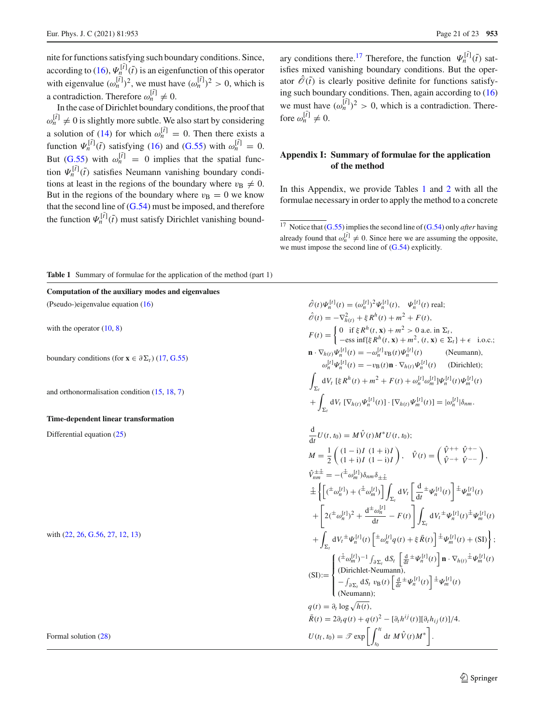a contradiction. Therefore  $\omega_n^{[\tilde{i}]} \neq 0$ . In the case of Dirichlet boundary conditions, the proof that  $\omega_n^{[\tilde{t}]} \neq 0$  is slightly more subtle. We also start by considering a solution of [\(14\)](#page-4-2) for which  $\omega_n^{[\tilde{t}]} = 0$ . Then there exists a function  $\Psi_n^{[\tilde{t}]}(\tilde{t})$  satisfying [\(16\)](#page-4-5) and [\(G.55\)](#page-19-6) with  $\omega_n^{[\tilde{t}]} = 0$ . But [\(G.55\)](#page-19-6) with  $\omega_n^{[\tilde{l}]} = 0$  implies that the spatial function  $\Psi_n^{[\tilde{t}]}(\tilde{t})$  satisfies Neumann vanishing boundary conditions at least in the regions of the boundary where  $v_B \neq 0$ . But in the regions of the boundary where  $v_B = 0$  we know that the second line of  $(G.54)$  must be imposed, and therefore the function  $\Psi_n^{[\hat{t}]}(\tilde{t})$  must satisfy Dirichlet vanishing bound-

ary conditions there.<sup>[17](#page-20-0)</sup> Therefore, the function  $\Psi_n^{[\tilde{t}]}(\tilde{t})$  satisfies mixed vanishing boundary conditions. But the operator  $\mathcal{O}(\tilde{t})$  is clearly positive definite for functions satisfying such boundary conditions. Then, again according to [\(16\)](#page-4-5) we must have  $({\omega}_n^{[\tilde{t}]} )^2 > 0$ , which is a contradiction. Therefore  $\omega_n^{[\tilde{t}]} \neq 0$ .

# **Appendix I: Summary of formulae for the application of the method**

In this Appendix, we provide Tables [1](#page-20-1) and [2](#page-21-9) with all the formulae necessary in order to apply the method to a concrete

<span id="page-20-1"></span>**Table 1** Summary of formulae for the application of the method (part 1)

**Computation of the auxiliary modes and eigenvalues**

(Pseudo-)eigenvalue equation [\(16\)](#page-4-5) *<sup>O</sup>*ˆ(*t*)Ψ[*t*] *<sup>n</sup>* (*t*) <sup>=</sup> (ω[*t*]

with the operator  $(10, 8)$  $(10, 8)$  $(10, 8)$ 

boundary conditions (for  $\mathbf{x} \in \partial \Sigma_t$ ) [\(17,](#page-4-4) [G.55\)](#page-19-6)

and orthonormalisation condition [\(15,](#page-4-6) [18,](#page-4-7) [7\)](#page-3-3)

#### **Time-dependent linear transformation**

Differential equation  $(25)$ 

with [\(22,](#page-5-5) [26,](#page-5-6) [G.56,](#page-19-5) [27,](#page-5-3) [12,](#page-3-10) [13\)](#page-3-9)

 $\frac{[\{t\}]}{n}$ <sup>2</sup> $\psi_n^{\{t\}}(t)$ ,  $\psi_n^{\{t\}}(t)$  real;  $\hat{\mathcal{O}}(t) = -\nabla^2_{h(t)} + \xi R^h(t) + m^2 + F(t),$  $F(t) = \begin{cases} 0 & \text{if } \xi R^h(t, \mathbf{x}) + m^2 > 0 \text{ a.e. in } \Sigma_t, \\ -\text{ess inf}\{\xi R^h(t, \mathbf{x}) + m^2 \quad (t, \mathbf{x}) \in \Sigma_t \end{cases}$  $-\text{ess inf}\{\xi R^h(t, \mathbf{x}) + m^2, (t, \mathbf{x}) \in \Sigma_t\} + \epsilon \text{ i.o.c.};$  $\mathbf{n} \cdot \nabla_{h(t)} \Psi_n^{[t]}(t) = -\omega_n^{[t]} v_{\text{B}}(t) \Psi_n^{[t]}(t)$  (Neumann),  $\omega_n^{[t]} \Psi_n^{[t]}(t) = -v_B(t) \mathbf{n} \cdot \nabla_{h(t)} \Psi_n^{[t]}(t)$  (Dirichlet); -  $\sum_{k} dV_t$  [ξ  $R^h(t) + m^2 + F(t) + \omega_n^{[t]} \omega_m^{[t]} \Psi_n^{[t]}(t) \Psi_m^{[t]}(t)$  $+$  $\sum_{\Sigma_t} dV_t \left[ \nabla_{h(t)} \Psi_n^{[t]}(t) \right] \cdot \left[ \nabla_{h(t)} \Psi_m^{[t]}(t) \right] = |\omega_n^{[t]}| \delta_{nm}.$  $\frac{d}{dt}U(t, t_0) = MV(t)M^*U(t, t_0);$  $M = \frac{1}{2}$  $(1 - i)I (1 + i)I$  $(1 + i)I (1 - i)I$  $\hat{V}(t) = \begin{pmatrix} \hat{V}^{++} & \hat{V}^{+-} \\ \hat{V}^{-+} & \hat{V}^{--} \end{pmatrix},$  $\hat{V}_{nm}^{\pm\pm} = -({}^{\pm}\omega_m^{[t]})\delta_{nm}\delta_{\pm\pm}$  $\hat{\pm}\left\{ \left[ (\pm \omega_n^{[t]}) + (\hat{\pm} \omega_m^{[t]}) \right] \right\}$  $\int_{\Sigma_t} dV_t \left[ \frac{d}{dt} \right]$  $\frac{d}{dt} \pm \Psi_n^{[t]}(t) \left[ \pm \Psi_m^{[t]}(t) \right]$ +  $\left[ 2(\pm \omega_n^{[t]})^2 + \frac{d^{\pm} \omega_n^{[t]}}{dt} - F(t) \right]$  $\sum_{\Sigma_t} dV_t^{\pm} \Psi_n^{[t]}(t) \pm \Psi_m^{[t]}(t)$  $+\int_{\Gamma} dV_t^{\pm} \Psi_n^{[t]}(t) \left[ {}^{\pm} \omega_n^{[t]} q(t) + \xi \bar{R}(t) \right] {}^{\pm} \Psi_m^{[t]}(t) + (\text{SI}) \right\};$  $\Sigma_i$ '  $(SI):=$  $\int$  $(\hat{\pm}\omega_m^{[t]})^{-1}\int_{\partial\Sigma_t} dS_t \left[\frac{d}{dt}\pm\Psi_n^{[t]}(t)\right] \mathbf{n}\cdot\nabla_{h(t)}\hat{\pm}\Psi_m^{[t]}(t)$ (Dirichlet-Neumann),

Formal solution (28)  
\n
$$
\begin{aligned}\n\begin{aligned}\n\frac{(01)\cdot -}{4} &= \int_{\partial \Sigma_t} dS_t \, v_B(t) \left[ \frac{d}{dt} \pm \Psi_n^{[t]}(t) \right] \pm \Psi_m^{[t]}(t) \\
\text{(Neumann)}; \\
q(t) &= \partial_t \log \sqrt{h(t)}, \\
\bar{R}(t) &= 2\partial_t q(t) + q(t)^2 - [\partial_t h^{ij}(t)][\partial_t h_{ij}(t)]/4.\n\end{aligned} \\
\text{Formal solution (28)}\n\end{aligned}
$$
\nFor the equation (28)

<span id="page-20-0"></span> $\frac{17}{17}$  Notice that [\(G.55\)](#page-19-6) implies the second line of [\(G.54\)](#page-19-3) only *after* having already found that  $\omega_n^{[\tilde{I}]} \neq 0$ . Since here we are assuming the opposite, we must impose the second line of [\(G.54\)](#page-19-3) explicitly.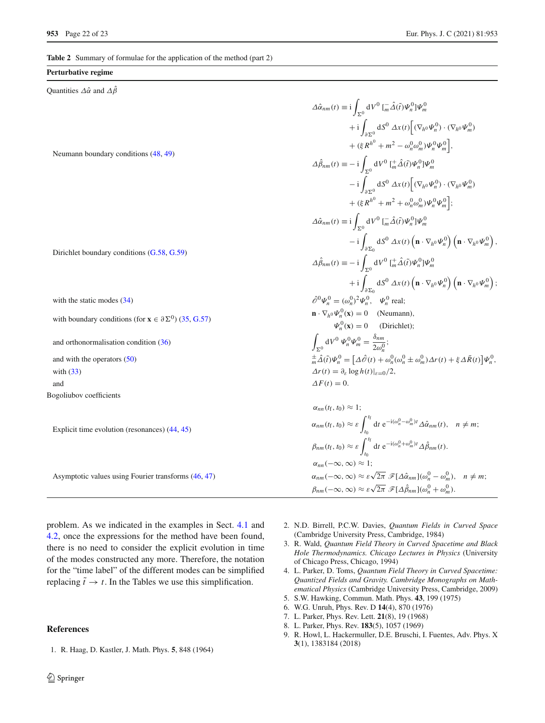<span id="page-21-9"></span>**Table 2** Summary of formulae for the application of the method (part 2)

#### **Perturbative regime**

Quantities  $\Delta \hat{\alpha}$  and  $\Delta \hat{\beta}$ 

Neumann boundary conditions [\(48,](#page-8-1) [49\)](#page-8-2)

Dirichlet boundary conditions [\(G.58,](#page-19-1) [G.59\)](#page-19-2)

with the static modes [\(34\)](#page-6-5)

with boundary conditions (for  $\mathbf{x} \in \partial \Sigma^0$ ) [\(35,](#page-6-6) [G.57\)](#page-19-0)

and orthonormalisation condition [\(36\)](#page-6-3)

and with the operators  $(50)$ 

Bogoliubov coefficients

Explicit time evolution (resonances) [\(44,](#page-7-2) [45\)](#page-7-3)

Asymptotic values using Fourier transforms [\(46,](#page-7-5) [47\)](#page-7-6)

 $+ i$  $\int_{\partial\Sigma^0} dS^0 \Delta x(t) \Big[ (\nabla_{h^0} \Psi_n^0) \cdot (\nabla_{h^0} \Psi_m^0) \Big]$  $+ (\xi R^{h^0} + m^2 - \omega_n^0 \omega_m^0) \Psi_n^0 \Psi_m^0$  $\Delta \hat{\beta}_{nm}(t) \equiv -i$  $\int_{\Sigma^0} dV^0 \left[ \frac{1}{m} \hat{\Delta}(\tilde{t}) \Psi_n^0 \right] \Psi_m^0$  $- i$  $\int_{\partial\Sigma^0} dS^0 \Delta x(t) \Big[ (\nabla_{h^0} \Psi_n^0) \cdot (\nabla_{h^0} \Psi_m^0) \Big]$  $+ (\xi R^{h^0} + m^2 + \omega_n^0 \omega_m^0) \Psi_n^0 \Psi_m^0];$  $\Delta \hat{\alpha}_{nm}(t) \equiv \mathbf{i} \int_{\mathbb{R}^0} dV^0 \left[ \frac{1}{m} \hat{\Delta}(\tilde{t}) \Psi_n^0 \right] \Psi_m^0$  $\Sigma_0$  $- i$  $\int_{\partial\Sigma_0} dS^0 \, \varDelta x(t) \left( \mathbf{n} \cdot \nabla_{h^0} \Psi_n^0 \right) \left( \mathbf{n} \cdot \nabla_{h^0} \Psi_m^0 \right),$  $\Delta \hat{\beta}_{nm}(t) \equiv -i$  $\int_{\Sigma^0} dV^0 \left[ \frac{1}{m} \hat{\Delta}(\tilde{t}) \Psi_n^0 \right] \Psi_m^0$  $+ i$  $\int_{\partial\Sigma_0} dS^0 \, \Delta x(t) \left( \mathbf{n} \cdot \nabla_{h^0} \Psi_n^0 \right) \left( \mathbf{n} \cdot \nabla_{h^0} \Psi_m^0 \right);$  $V_n^0 = (\omega_n^0)^2 \Psi_n^0$ ,  $\Psi_n^0$  real;  $\mathbf{n} \cdot \nabla_{h^0} \Psi_n^0(\mathbf{x}) = 0$  (Neumann),  $\Psi_n^0(\mathbf{x}) = 0$  (Dirichlet);  $\int_{\Sigma^0} dV^0 \Psi_n^0 \Psi_m^0 = \frac{\delta_{nm}}{2\omega_n^0};$  $\frac{d}{dt}\hat{\Delta}(\tilde{t})\Psi_n^0 = \left[\Delta\hat{\mathcal{O}}(t) + \omega_n^0(\omega_n^0 \pm \omega_m^0)\Delta r(t) + \xi \Delta \bar{R}(t)\right]\Psi_n^0$ with [\(33\)](#page-6-7)  $\Delta r(t) = \partial_{\epsilon} \log h(t)|_{\epsilon=0}/2$ , and  $\Delta F(t) = 0$ .  $\alpha_{nn}(t_{\rm f}, t_0) \approx 1;$ 

 $\int_{\Sigma^0} dV^0 \left[ -\hat{\Delta}(\tilde{t}) \Psi_n^0 \right] \Psi_m^0$ 

 $\Delta \hat{\alpha}_{nm}(t) \equiv \mathrm{i}$ 

-

$$
\alpha_{nm}(t_{f}, t_{0}) \approx \varepsilon \int_{t_{0}}^{t_{f}} dt e^{-i(\omega_{n}^{0} - \omega_{m}^{0})t} \Delta \hat{\alpha}_{nm}(t), \quad n \neq m;
$$
  
\n
$$
\beta_{nm}(t_{f}, t_{0}) \approx \varepsilon \int_{t_{0}}^{t_{f}} dt e^{-i(\omega_{n}^{0} + \omega_{m}^{0})t} \Delta \hat{\beta}_{nm}(t).
$$
  
\n
$$
\alpha_{nn}(-\infty, \infty) \approx 1;
$$
  
\n
$$
\alpha_{nm}(-\infty, \infty) \approx \varepsilon \sqrt{2\pi} \mathcal{F}[\Delta \hat{\alpha}_{nm}](\omega_{n}^{0} - \omega_{m}^{0}), \quad n \neq m;
$$
  
\n
$$
\beta_{nm}(-\infty, \infty) \approx \varepsilon \sqrt{2\pi} \mathcal{F}[\Delta \hat{\beta}_{nm}](\omega_{n}^{0} + \omega_{m}^{0}).
$$

problem. As we indicated in the examples in Sect. [4.1](#page-8-5) and [4.2,](#page-9-4) once the expressions for the method have been found, there is no need to consider the explicit evolution in time of the modes constructed any more. Therefore, the notation for the "time label" of the different modes can be simplified replacing  $\tilde{t} \to t$ . In the Tables we use this simplification.

## **References**

<span id="page-21-0"></span>1. R. Haag, D. Kastler, J. Math. Phys. **5**, 848 (1964)

- <span id="page-21-7"></span>2. N.D. Birrell, P.C.W. Davies, *Quantum Fields in Curved Space* (Cambridge University Press, Cambridge, 1984)
- <span id="page-21-8"></span>3. R. Wald, *Quantum Field Theory in Curved Spacetime and Black Hole Thermodynamics. Chicago Lectures in Physics* (University of Chicago Press, Chicago, 1994)
- <span id="page-21-1"></span>4. L. Parker, D. Toms, *Quantum Field Theory in Curved Spacetime: Quantized Fields and Gravity. Cambridge Monographs on Mathematical Physics* (Cambridge University Press, Cambridge, 2009)
- <span id="page-21-2"></span>5. S.W. Hawking, Commun. Math. Phys. **43**, 199 (1975)
- <span id="page-21-3"></span>6. W.G. Unruh, Phys. Rev. D **14**(4), 870 (1976)
- <span id="page-21-4"></span>7. L. Parker, Phys. Rev. Lett. **21**(8), 19 (1968)
- <span id="page-21-5"></span>8. L. Parker, Phys. Rev. **183**(5), 1057 (1969)
- <span id="page-21-6"></span>9. R. Howl, L. Hackermuller, D.E. Bruschi, I. Fuentes, Adv. Phys. X **3**(1), 1383184 (2018)